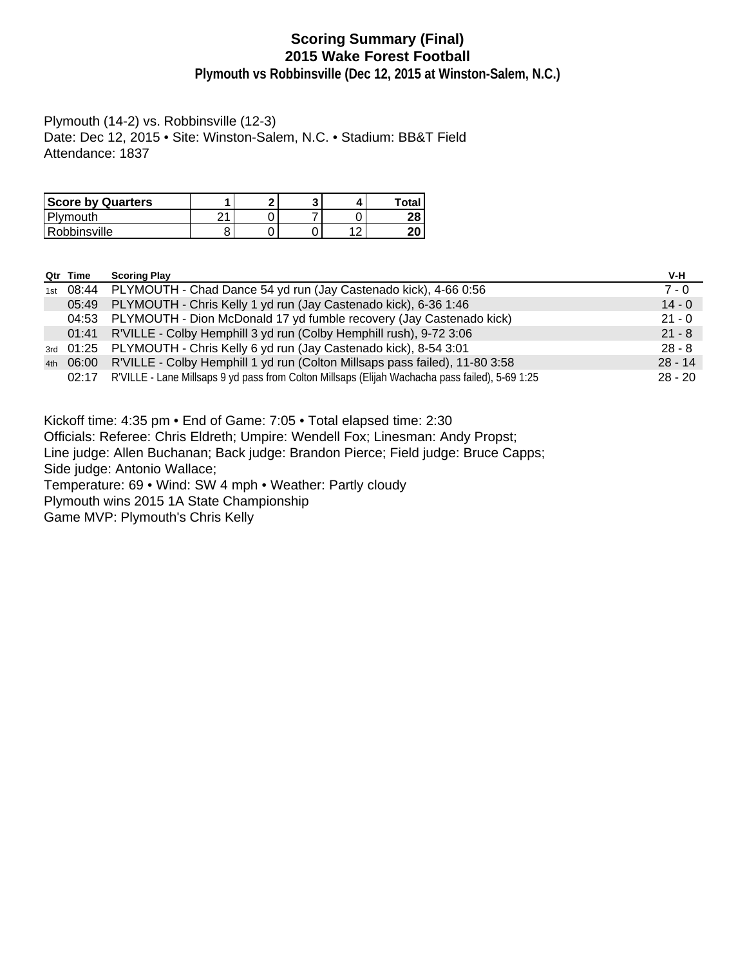# **Scoring Summary (Final) 2015 Wake Forest Football**

**Plymouth vs Robbinsville (Dec 12, 2015 at Winston-Salem, N.C.)**

Plymouth (14-2) vs. Robbinsville (12-3) Date: Dec 12, 2015 • Site: Winston-Salem, N.C. • Stadium: BB&T Field Attendance: 1837

| <b>Score by Quarters</b> |   | c |                | Total    |
|--------------------------|---|---|----------------|----------|
| Plymouth                 | ິ |   |                | າດ<br>40 |
| Robbinsville             |   |   | $\overline{ }$ | חר<br>ΖU |

|     | Qtr Time | <b>Scoring Play</b>                                                                             | V-H       |
|-----|----------|-------------------------------------------------------------------------------------------------|-----------|
| 1st |          | 08:44 PLYMOUTH - Chad Dance 54 yd run (Jay Castenado kick), 4-66 0:56                           | $7 - 0$   |
|     | 05:49    | PLYMOUTH - Chris Kelly 1 yd run (Jay Castenado kick), 6-36 1:46                                 | $14 - 0$  |
|     | 04:53    | PLYMOUTH - Dion McDonald 17 yd fumble recovery (Jay Castenado kick)                             | $21 - 0$  |
|     | 01:41    | R'VILLE - Colby Hemphill 3 yd run (Colby Hemphill rush), 9-72 3:06                              | $21 - 8$  |
|     |          | 3rd 01:25 PLYMOUTH - Chris Kelly 6 yd run (Jay Castenado kick), 8-54 3:01                       | $28 - 8$  |
|     |          | 4th 06:00 R'VILLE - Colby Hemphill 1 yd run (Colton Millsaps pass failed), 11-80 3:58           | $28 - 14$ |
|     | 02:17    | R'VILLE - Lane Millsaps 9 yd pass from Colton Millsaps (Elijah Wachacha pass failed), 5-69 1:25 | $28 - 20$ |

Kickoff time: 4:35 pm • End of Game: 7:05 • Total elapsed time: 2:30

Officials: Referee: Chris Eldreth; Umpire: Wendell Fox; Linesman: Andy Propst;

Line judge: Allen Buchanan; Back judge: Brandon Pierce; Field judge: Bruce Capps;

Side judge: Antonio Wallace;

Temperature: 69 • Wind: SW 4 mph • Weather: Partly cloudy

Plymouth wins 2015 1A State Championship

Game MVP: Plymouth's Chris Kelly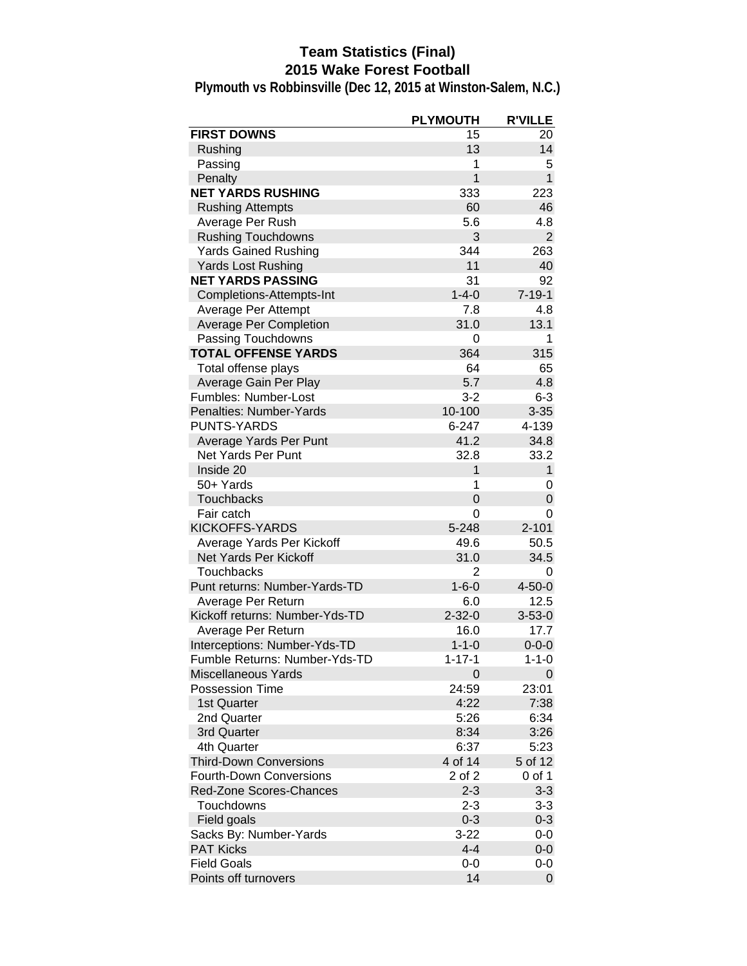# **Team Statistics (Final) 2015 Wake Forest Football**

|                                | <b>PLYMOUTH</b> | <b>R'VILLE</b> |
|--------------------------------|-----------------|----------------|
| <b>FIRST DOWNS</b>             | 15              | 20             |
| Rushing                        | 13              | 14             |
| Passing                        | 1               | 5              |
| Penalty                        | $\overline{1}$  | $\mathbf{1}$   |
| <b>NET YARDS RUSHING</b>       | 333             | 223            |
| <b>Rushing Attempts</b>        | 60              | 46             |
| Average Per Rush               | 5.6             | 4.8            |
| <b>Rushing Touchdowns</b>      | 3               | $\overline{2}$ |
| <b>Yards Gained Rushing</b>    | 344             | 263            |
| Yards Lost Rushing             | 11              | 40             |
| <b>NET YARDS PASSING</b>       | 31              | 92             |
| Completions-Attempts-Int       | $1 - 4 - 0$     | $7 - 19 - 1$   |
| Average Per Attempt            | 7.8             | 4.8            |
| <b>Average Per Completion</b>  | 31.0            | 13.1           |
| Passing Touchdowns             | 0               | 1              |
| <b>TOTAL OFFENSE YARDS</b>     | 364             | 315            |
| Total offense plays            | 64              | 65             |
| Average Gain Per Play          | 5.7             | 4.8            |
| Fumbles: Number-Lost           | $3 - 2$         | $6 - 3$        |
| Penalties: Number-Yards        | 10-100          | $3 - 35$       |
| <b>PUNTS-YARDS</b>             | $6 - 247$       | 4-139          |
| Average Yards Per Punt         | 41.2            | 34.8           |
| Net Yards Per Punt             | 32.8            | 33.2           |
| Inside 20                      | $\mathbf{1}$    | $\mathbf{1}$   |
| 50+ Yards                      | 1               | 0              |
| Touchbacks                     | $\overline{0}$  | 0              |
| Fair catch                     | 0               | 0              |
| KICKOFFS-YARDS                 | 5-248           | $2 - 101$      |
| Average Yards Per Kickoff      | 49.6            | 50.5           |
| Net Yards Per Kickoff          | 31.0            | 34.5           |
| Touchbacks                     | 2               | 0              |
| Punt returns: Number-Yards-TD  | $1 - 6 - 0$     | $4 - 50 - 0$   |
| Average Per Return             | 6.0             | 12.5           |
| Kickoff returns: Number-Yds-TD | $2 - 32 - 0$    | $3 - 53 - 0$   |
| Average Per Return             | 16.0            | 17.7           |
| Interceptions: Number-Yds-TD   | $1 - 1 - 0$     | $0 - 0 - 0$    |
| Fumble Returns: Number-Yds-TD  | $1 - 17 - 1$    | $1 - 1 - 0$    |
| <b>Miscellaneous Yards</b>     | $\overline{0}$  | 0              |
| <b>Possession Time</b>         | 24:59           | 23:01          |
| 1st Quarter                    | 4:22            | 7:38           |
| 2nd Quarter                    | 5:26            | 6:34           |
| 3rd Quarter                    | 8:34            | 3:26           |
| 4th Quarter                    | 6:37            | 5:23           |
| <b>Third-Down Conversions</b>  | 4 of 14         | 5 of 12        |
| <b>Fourth-Down Conversions</b> | 2 of 2          | 0 of 1         |
| Red-Zone Scores-Chances        | $2 - 3$         | $3-3$          |
| Touchdowns                     | $2 - 3$         | $3-3$          |
| Field goals                    | $0 - 3$         | $0 - 3$        |
| Sacks By: Number-Yards         | $3 - 22$        | $0-0$          |
| <b>PAT Kicks</b>               | $4 - 4$         | $0-0$          |
| <b>Field Goals</b>             | 0-0             | $0-0$          |
| Points off turnovers           | 14              | 0              |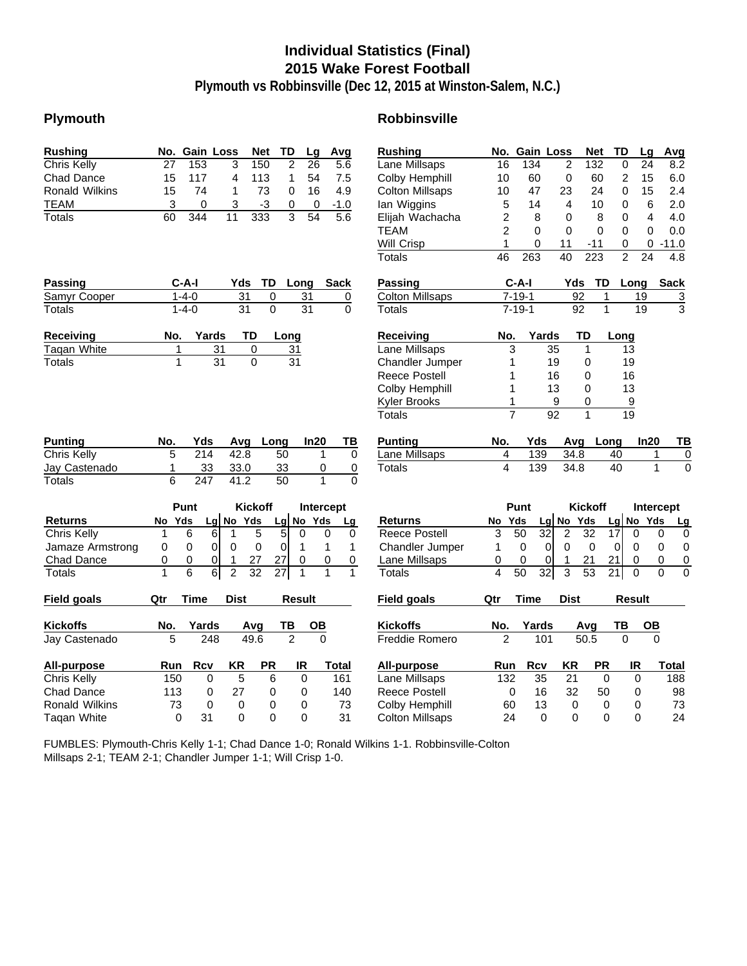# **Individual Statistics (Final) 2015 Wake Forest Football**

**Plymouth vs Robbinsville (Dec 12, 2015 at Winston-Salem, N.C.)**

# **Plymouth Robbinsville**

| <b>Rushing</b>        | No.<br><b>Gain Loss</b>          |                                  | <b>TD</b><br><b>Net</b>            | Lg              | Avg               | <b>Rushing</b>         | No.            | <b>Gain Loss</b> |                                   | <b>Net</b>         | TD                          | Avg<br>Lg               |
|-----------------------|----------------------------------|----------------------------------|------------------------------------|-----------------|-------------------|------------------------|----------------|------------------|-----------------------------------|--------------------|-----------------------------|-------------------------|
| Chris Kelly           | 27<br>153                        | 3                                | 150<br>$\overline{2}$              | $\overline{26}$ | $\overline{5.6}$  | Lane Millsaps          | 16             | 134              | 2                                 | 132                | 0                           | 24<br>8.2               |
| <b>Chad Dance</b>     | 117<br>15                        | 4                                | 113<br>1                           | 54              | 7.5               | Colby Hemphill         | 10             | 60               | 0                                 | 60                 | $\overline{2}$              | 6.0<br>15               |
| <b>Ronald Wilkins</b> | 15<br>74                         | 1                                | 73<br>$\Omega$                     | 16              | 4.9               | <b>Colton Millsaps</b> | 10             | 47               | 23                                | 24                 | 0                           | 15<br>2.4               |
| <b>TEAM</b>           | 3<br>$\Omega$                    | 3                                | -3<br>0                            | 0               | $-1.0$            | lan Wiggins            | 5              | 14               | $\overline{4}$                    | 10                 | 0                           | 6<br>2.0                |
| Totals                | 60<br>344                        | 11                               | 3<br>333                           | 54              | 5.6               | Elijah Wachacha        | 2              | 8                | 0                                 | 8                  | 0                           | 4<br>4.0                |
|                       |                                  |                                  |                                    |                 |                   | <b>TEAM</b>            | $\overline{2}$ | $\Omega$         | $\Omega$                          | $\Omega$           | $\mathbf{0}$                | $\mathbf{0}$<br>0.0     |
|                       |                                  |                                  |                                    |                 |                   | Will Crisp             | 1              | 0                | 11                                | $-11$              | 0                           | $-11.0$<br>0            |
|                       |                                  |                                  |                                    |                 |                   | Totals                 | 46             | 263              | 40                                | $\overline{223}$   | $\overline{2}$              | 24<br>4.8               |
| Passing               | $C-A-I$                          | Yds                              | TD                                 | Long            | <b>Sack</b>       | <b>Passing</b>         |                | $C-A-I$          | Yds                               | <b>TD</b>          | Long                        | <b>Sack</b>             |
| Samyr Cooper          | $1 - 4 - 0$                      | 31                               | 0                                  | 31              | 0                 | <b>Colton Millsaps</b> |                | $7 - 19 - 1$     |                                   | 92<br>1            | 19                          | 3                       |
| Totals                | $1 - 4 - 0$                      | $\overline{31}$                  | $\Omega$                           | 31              | $\Omega$          | Totals                 |                | $7 - 19 - 1$     |                                   | $\mathbf{1}$<br>92 | 19                          | $\overline{\mathbf{3}}$ |
| <b>Receiving</b>      | No.                              | TD<br>Yards                      | Long                               |                 |                   | <b>Receiving</b>       | No.            |                  | Yards                             | TD                 | Long                        |                         |
| <b>Tagan White</b>    | 1                                | 31                               | 0<br>31                            |                 |                   | Lane Millsaps          | 3              |                  | 35                                | 1                  | 13                          |                         |
| Totals                | $\mathbf{1}$                     | $\overline{31}$                  | 0<br>$\overline{31}$               |                 |                   | Chandler Jumper        | 1              |                  | 19                                | 0                  | 19                          |                         |
|                       |                                  |                                  |                                    |                 |                   | <b>Reece Postell</b>   | 1              |                  | 16                                | 0                  | 16                          |                         |
|                       |                                  |                                  |                                    |                 |                   | Colby Hemphill         | 1              |                  | 13                                | $\Omega$           | 13                          |                         |
|                       |                                  |                                  |                                    |                 |                   | Kyler Brooks           | 1              |                  | 9                                 | 0                  | 9                           |                         |
|                       |                                  |                                  |                                    |                 |                   | Totals                 | $\overline{7}$ |                  | 92                                | $\mathbf{1}$       | $\overline{19}$             |                         |
| Punting               | No.<br>Yds                       | Avg                              | Long                               | In20            | TВ                | <b>Punting</b>         | No.            | Yds              | Avg                               | Long               |                             | In20<br>т               |
| Chris Kelly           | 5<br>214                         | 42.8                             | 50                                 |                 | 1<br>0            | Lane Millsaps          | 4              | 139              | 34.8                              |                    | 40                          | 1                       |
| Jay Castenado         | 33<br>1                          | 33.0                             | 33                                 |                 | 0<br>0            | <b>Totals</b>          | 4              | 139              | 34.8                              |                    | 40                          | 1                       |
| Totals                | 6<br>247                         | 41.2                             | 50                                 |                 | 1<br>$\Omega$     |                        |                |                  |                                   |                    |                             |                         |
|                       | Punt                             |                                  | <b>Kickoff</b>                     |                 | Intercept         |                        |                | Punt             |                                   | <b>Kickoff</b>     |                             | Intercept               |
| <b>Returns</b>        | Yds<br>No                        | No Yds<br>Lg                     | Lg                                 | No Yds          | Lg                | <b>Returns</b>         | No             | Yds              | <b>No</b><br>Lg                   | Yds                | No<br>$\lfloor \lg \rfloor$ | Yds<br>Ь                |
| <b>Chris Kelly</b>    | 6<br>1                           | 6<br>$\mathbf{1}$                | 5<br>5                             | $\mathbf 0$     | $\mathbf 0$<br>0  | <b>Reece Postell</b>   | 3              | $\overline{50}$  | $\overline{32}$<br>$\overline{2}$ | $\overline{32}$    | $\overline{17}$<br>0        | 0                       |
| Jamaze Armstrong      | 0<br>0                           | $\mathbf 0$<br>0                 | 0<br>$\overline{0}$                | 1               | 1<br>1            | Chandler Jumper        | $\mathbf{1}$   | $\mathbf 0$      | $\overline{0}$<br>0               | $\mathbf 0$        | $\mathbf 0$<br>0            | 0                       |
| Chad Dance            | 0<br>0                           | $\pmb{0}$<br>1                   | 27<br>27                           | 0               | 0<br>$\mathbf 0$  | Lane Millsaps          | 0              | 0                | 0<br>1                            | 21                 | 21<br>0                     | 0                       |
| <b>Totals</b>         | $\overline{1}$<br>$\overline{6}$ | $\overline{6}$<br>$\overline{2}$ | $\overline{32}$<br>$\overline{27}$ | 1               | 1<br>$\mathbf{1}$ | Totals                 | 4              | $\overline{50}$  | 32<br>$\overline{3}$              | $\overline{53}$    | $\overline{21}$<br>0        | $\Omega$                |
| <b>Field goals</b>    | Qtr<br>Time                      | <b>Dist</b>                      |                                    | <b>Result</b>   |                   | <b>Field goals</b>     | Qtr            | Time             | <b>Dist</b>                       |                    | <b>Result</b>               |                         |
| <b>Kickoffs</b>       | No.<br>Yards                     | Avg                              | TB                                 | <b>OB</b>       |                   | <b>Kickoffs</b>        | No.            | Yards            |                                   | Avg                | TB                          | <b>OB</b>               |
| Jay Castenado         | 5                                | 49.6<br>248                      | $\overline{2}$                     |                 | $\overline{0}$    | Freddie Romero         | $\overline{2}$ |                  | 101                               | 50.5               | $\mathbf{0}$                | $\Omega$                |
| <b>All-purpose</b>    | <b>Rcv</b><br>Run                | KR                               | <b>PR</b>                          | IR              | <b>Total</b>      | All-purpose            | Run            | <b>Rcv</b>       | <b>KR</b>                         | <b>PR</b>          | IR                          | <b>Total</b>            |
| Chris Kelly           | 150                              | 5<br>$\mathbf 0$                 | 6                                  | $\mathbf 0$     | 161               | Lane Millsaps          | 132            | 35               | 21                                | $\overline{0}$     | $\mathbf 0$                 | 188                     |
| <b>Chad Dance</b>     | 113                              | 27<br>0                          | $\Omega$                           | 0               | 140               | <b>Reece Postell</b>   | $\Omega$       | 16               | 32                                | 50                 | 0                           | 98                      |
| <b>Ronald Wilkins</b> | 73                               | $\Omega$<br>0                    | $\Omega$                           | 0               | 73                | Colby Hemphill         | 60             | 13               | 0                                 | 0                  | $\Omega$                    | 73                      |
| <b>Tagan White</b>    | 0<br>31                          | $\Omega$                         | $\Omega$                           | $\Omega$        | 31                | <b>Colton Millsaps</b> | 24             |                  | $\Omega$<br>$\Omega$              | $\Omega$           | $\Omega$                    | 24                      |

| Lane Millsaps                  | 16             |                | 134        | 2                              |                   | 132            | 0              | 24              | 8.2           |
|--------------------------------|----------------|----------------|------------|--------------------------------|-------------------|----------------|----------------|-----------------|---------------|
| Colby Hemphill                 | 10             |                | 60         | 0                              |                   | 60             | $\overline{2}$ | 15              | 6.0           |
| <b>Colton Millsaps</b>         | 10             |                | 47         | 23                             |                   | 24             | 0              | 15              | 2.4           |
| lan Wiggins                    | 5              |                | 14         | 4                              |                   | 10             | 0              | 6               | 2.0           |
| Elijah Wachacha                | 2              |                | 8          | 0                              |                   | 8              | 0              | 4               | 4.0           |
| <b>TEAM</b>                    | $\overline{2}$ |                | 0          | 0                              |                   | 0              | 0              | 0               | 0.0           |
| Will Crisp                     | 1              |                | 0          | 11                             |                   | -11            | 0              | 0               | $-11.0$       |
| <b>Totals</b>                  | 46             |                | 263        | 40                             | 223               |                | $\overline{2}$ | 24              | 4.8           |
| <b>Passing</b>                 |                | C-A-I          |            |                                | Yds               | TD             | Long           |                 | <b>Sack</b>   |
| <b>Colton Millsaps</b>         |                | $7 - 19 - 1$   |            |                                | 92                | 1              |                | 19              | $\frac{3}{3}$ |
| <b>Totals</b>                  |                | $7 - 19 - 1$   |            |                                | 92                | $\overline{1}$ |                | $\overline{1}9$ |               |
| Receiving                      | No.            |                | Yards      |                                | TD                |                | Long           |                 |               |
| Lane Millsaps                  |                | 3              |            | 35                             | 1                 |                | 13             |                 |               |
| Chandler Jumper                |                | 1              |            | 19                             | 0                 |                | 19             |                 |               |
| <b>Reece Postell</b>           |                | 1              |            | 16                             | 0                 |                | 16             |                 |               |
| Colby Hemphill                 |                | 1              |            | 13                             | 0                 |                | 13             |                 |               |
| Kyler Brooks                   |                | 1              |            | 9                              | 0                 |                | 9              |                 |               |
| <b>Totals</b>                  |                | $\overline{7}$ |            | 92                             | 1                 |                | 19             |                 |               |
| <b>Punting</b>                 | No.            |                | Yds        |                                | Avg               | Long           |                | In20            | ΤВ            |
| Lane Millsaps                  | 4              |                | 139        |                                | 34.8              | 40             |                | 1               | 0             |
| <b>Totals</b>                  | 4              |                | 139        |                                | 34.8              | 40             |                | 1               | $\Omega$      |
|                                |                |                |            |                                |                   |                |                |                 |               |
|                                |                | Punt           |            |                                | <b>Kickoff</b>    |                |                | Intercept       |               |
| <b>Returns</b>                 | No             | Yds            | Lg         | No                             | Yds               | Lg             | No             | Yds             | Lg            |
| <b>Reece Postell</b>           | 3              | 50             | 32         | 2                              | 32                | 17             | 0              |                 | 0<br>0        |
| Chandler Jumper                | 1              | 0              | 0          | 0                              | 0                 | 0              | 0              |                 | 0<br>0        |
| Lane Millsaps<br><b>Totals</b> | 0<br>4         | 0<br>50        | 0          | 1<br>$\overline{\overline{3}}$ | 21<br>53          | 21             | 0              | 0               | 0<br>0        |
|                                |                |                | 32         |                                |                   | 21             | 0              |                 | 0             |
| <b>Field goals</b>             | Qtr            | <b>Time</b>    |            | <b>Dist</b>                    |                   |                | <b>Result</b>  |                 |               |
| <b>Kickoffs</b>                | No.            |                | Yards      |                                | Avg               |                | TB             | <b>OB</b>       |               |
| Freddie Romero                 | 2              |                | 101        |                                | $50.\overline{5}$ |                | 0              | 0               |               |
| <b>All-purpose</b>             | Run            |                | <b>Rcv</b> | <b>KR</b>                      |                   | PR             | IR             |                 | Total         |
| Lane Millsaps                  | 132            |                | 35         | 21                             |                   | 0              | 0              |                 | 188           |
| <b>Reece Postell</b>           |                | 0              | 16         | 32                             |                   | 50             | 0              |                 | 98            |
| Colby Hemphill                 |                | 60             | 13         |                                | 0                 | 0              | 0              |                 | 73            |
| Colton Milleane                |                | $2\Lambda$     | $\Omega$   |                                | $\Omega$          | ∩              | $\cap$         |                 | クイ            |

FUMBLES: Plymouth-Chris Kelly 1-1; Chad Dance 1-0; Ronald Wilkins 1-1. Robbinsville-Colton Millsaps 2-1; TEAM 2-1; Chandler Jumper 1-1; Will Crisp 1-0.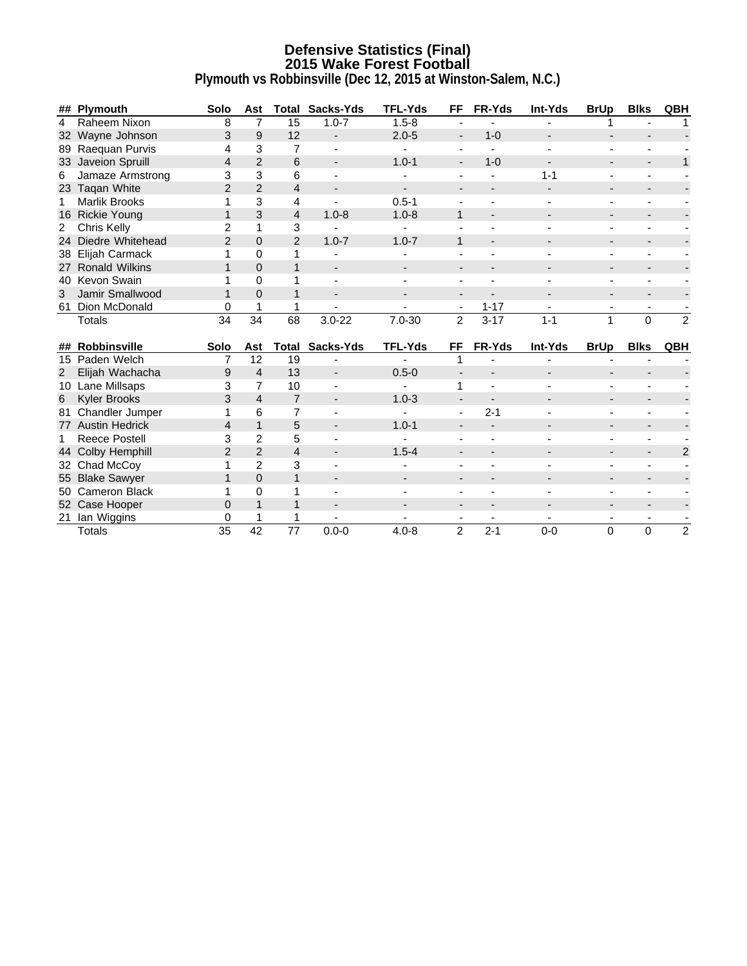### **Defensive Statistics (Final) 2015 Wake Forest Football Plymouth vs Robbinsville (Dec 12, 2015 at Winston-Salem, N.C.)**

|    | ## Plymouth          | Solo            | Ast            |                | <b>Total Sacks-Yds</b> | <b>TFL-Yds</b> | FF.                          | FR-Yds                   | <b>Int-Yds</b>           | <b>BrUp</b>                  | <b>Blks</b>              | QBH            |
|----|----------------------|-----------------|----------------|----------------|------------------------|----------------|------------------------------|--------------------------|--------------------------|------------------------------|--------------------------|----------------|
| 4  | Raheem Nixon         | 8               | 7              | 15             | $1.0 - 7$              | $1.5 - 8$      |                              |                          |                          |                              |                          |                |
|    | 32 Wayne Johnson     | 3               | 9              | 12             |                        | $2.0 - 5$      | $\qquad \qquad \blacksquare$ | $1 - 0$                  |                          |                              |                          |                |
|    | 89 Raequan Purvis    | 4               | 3              | $\overline{7}$ |                        |                | $\blacksquare$               |                          |                          | ä,                           |                          |                |
|    | 33 Javeion Spruill   | $\overline{4}$  | 2              | 6              |                        | $1.0 - 1$      | $\overline{\phantom{a}}$     | $1 - 0$                  |                          |                              |                          | 1              |
| 6  | Jamaze Armstrong     | 3               | 3              | 6              |                        |                |                              |                          | $1 - 1$                  | $\blacksquare$               |                          |                |
|    | 23 Taqan White       | $\overline{2}$  | $\overline{2}$ | $\overline{4}$ |                        |                |                              |                          |                          |                              |                          |                |
| 1  | Marlik Brooks        | 1               | 3              | 4              |                        | $0.5 - 1$      |                              |                          |                          | $\blacksquare$               |                          |                |
|    | 16 Rickie Young      | $\mathbf{1}$    | 3              | 4              | $1.0 - 8$              | $1.0 - 8$      | $\mathbf{1}$                 |                          |                          |                              |                          |                |
| 2  | Chris Kelly          | $\overline{c}$  | $\mathbf{1}$   | 3              |                        |                |                              |                          |                          |                              |                          |                |
| 24 | Diedre Whitehead     | $\overline{2}$  | $\Omega$       | 2              | $1.0 - 7$              | $1.0 - 7$      | $\mathbf{1}$                 |                          |                          | $\qquad \qquad \blacksquare$ |                          |                |
|    | 38 Elijah Carmack    | 1               | $\Omega$       | 1              |                        |                |                              |                          |                          | $\blacksquare$               |                          |                |
|    | 27 Ronald Wilkins    | 1               | $\Omega$       | $\mathbf{1}$   |                        |                |                              |                          |                          |                              |                          |                |
|    | 40 Kevon Swain       |                 | $\overline{0}$ | 1              |                        |                |                              |                          |                          | $\blacksquare$               |                          |                |
| 3  | Jamir Smallwood      |                 | $\Omega$       | 1              |                        |                |                              |                          |                          | $\overline{\phantom{a}}$     |                          |                |
|    | 61 Dion McDonald     | 0               |                | 1              |                        | $\blacksquare$ | $\overline{\phantom{a}}$     | $1 - 17$                 | $\overline{\phantom{a}}$ | $\overline{\phantom{a}}$     | $\overline{\phantom{a}}$ |                |
|    | <b>Totals</b>        | $\overline{34}$ | 34             | 68             | $3.0 - 22$             | $7.0 - 30$     | $\overline{2}$               | $3 - 17$                 | $1 - 1$                  | $\mathbf{1}$                 | $\mathbf 0$              | $\overline{2}$ |
|    | ## Robbinsville      | Solo            | Ast            | Total          | Sacks-Yds              | <b>TFL-Yds</b> | FF                           | FR-Yds                   | Int-Yds                  | <b>BrUp</b>                  | <b>Blks</b>              | <b>QBH</b>     |
|    | 15 Paden Welch       | $\overline{7}$  | 12             | 19             |                        |                | 1                            |                          | $\blacksquare$           | $\blacksquare$               |                          |                |
| 2  | Elijah Wachacha      | 9               | $\overline{4}$ | 13             |                        | $0.5 - 0$      |                              |                          |                          |                              |                          |                |
|    | 10 Lane Millsaps     | 3               | $\overline{7}$ | 10             |                        |                | 1                            |                          |                          |                              |                          |                |
| 6  | <b>Kyler Brooks</b>  | 3               | $\overline{4}$ | $\overline{7}$ |                        | $1.0 - 3$      |                              |                          |                          |                              |                          |                |
|    | 81 Chandler Jumper   | 1               | 6              | $\overline{7}$ |                        |                | $\blacksquare$               | $2 - 1$                  |                          | $\blacksquare$               |                          |                |
|    | 77 Austin Hedrick    | $\overline{4}$  | $\mathbf{1}$   | 5              |                        | $1.0 - 1$      |                              |                          |                          |                              |                          |                |
| 1  | <b>Reece Postell</b> | 3               | $\overline{2}$ | 5              |                        |                |                              |                          |                          |                              |                          |                |
|    | 44 Colby Hemphill    | $\overline{2}$  | $\overline{2}$ | $\overline{4}$ |                        | $1.5 - 4$      |                              |                          |                          | $\qquad \qquad \blacksquare$ |                          | $\overline{2}$ |
|    | 32 Chad McCoy        | 1               | $\overline{2}$ | 3              |                        |                |                              |                          |                          | $\blacksquare$               |                          |                |
|    | 55 Blake Sawyer      | 1               | $\Omega$       | 1              |                        |                |                              |                          |                          |                              |                          |                |
|    | 50 Cameron Black     |                 | $\Omega$       | 1              |                        |                |                              |                          |                          | ä,                           |                          |                |
|    | 52 Case Hooper       | 0               |                | 1              |                        |                |                              |                          |                          |                              |                          |                |
|    |                      |                 |                |                |                        |                |                              |                          |                          |                              |                          |                |
|    | 21_lan Wiggins       | 0               |                | 1              |                        |                | $\overline{\phantom{a}}$     | $\overline{\phantom{a}}$ |                          | $\overline{\phantom{a}}$     | $\overline{\phantom{a}}$ |                |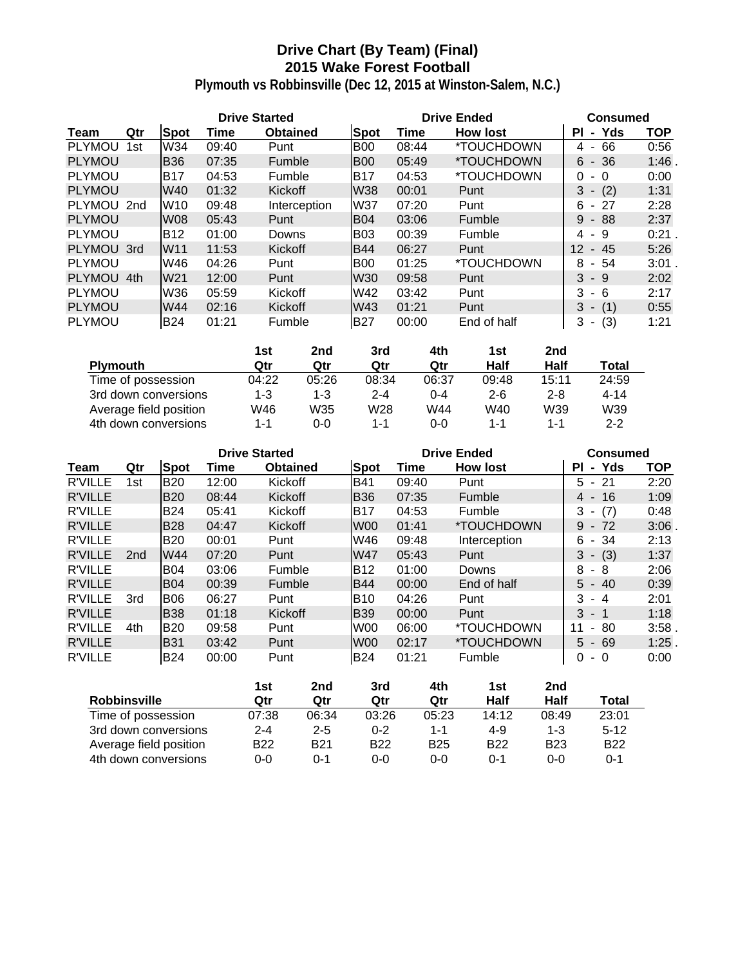# **Drive Chart (By Team) (Final) 2015 Wake Forest Football**

|               |     |                 | <b>Drive Started</b> |                 |                 | <b>Drive Ended</b> | <b>Consumed</b>          |                                      |            |
|---------------|-----|-----------------|----------------------|-----------------|-----------------|--------------------|--------------------------|--------------------------------------|------------|
| Team          | Qtr | <b>Spot</b>     | Time                 | <b>Obtained</b> | <b>Spot</b>     | Time               | <b>How lost</b>          | - Yds<br>ΡI                          | <b>TOP</b> |
| <b>PLYMOU</b> | 1st | W34             | 09:40                | Punt            | <b>B00</b>      | 08:44              | <i><b>*TOUCHDOWN</b></i> | 66<br>4<br>$\overline{\phantom{a}}$  | 0:56       |
| <b>PLYMOU</b> |     | <b>B36</b>      | 07:35                | Fumble          | <b>B00</b>      | 05:49              | <i><b>*TOUCHDOWN</b></i> | $6 - 36$                             | 1:46       |
| <b>PLYMOU</b> |     | <b>B17</b>      | 04:53                | Fumble          | <b>B17</b>      | 04:53              | <i><b>*TOUCHDOWN</b></i> | 0<br>- 0                             | 0:00       |
| <b>PLYMOU</b> |     | W40             | 01:32                | Kickoff         | <b>W38</b>      | 00:01              | Punt                     | (2)<br>3<br>$\sim$                   | 1:31       |
| PLYMOU 2nd    |     | W <sub>10</sub> | 09:48                | Interception    | W37             | 07:20              | Punt                     | $-27$<br>6                           | 2:28       |
| <b>PLYMOU</b> |     | <b>W08</b>      | 05:43                | Punt            | <b>B04</b>      | 03:06              | Fumble                   | 9<br>- 88                            | 2:37       |
| <b>PLYMOU</b> |     | <b>B12</b>      | 01:00                | Downs           | <b>B03</b>      | 00:39              | Fumble                   | 4 - 9                                | 0:21       |
| PLYMOU 3rd    |     | <b>W11</b>      | 11:53                | Kickoff         | <b>B44</b>      | 06:27              | Punt                     | $12 \overline{ }$<br>- 45            | 5:26       |
| <b>PLYMOU</b> |     | W46             | 04:26                | Punt            | B <sub>00</sub> | 01:25              | *TOUCHDOWN               | 8<br>- 54                            | 3:01       |
| <b>PLYMOU</b> | 4th | W <sub>21</sub> | 12:00                | Punt            | W30             | 09:58              | Punt                     | 3<br>- 9                             | 2:02       |
| <b>PLYMOU</b> |     | W36             | 05:59                | Kickoff         | W42             | 03:42              | Punt                     | 3<br>- 6                             | 2:17       |
| <b>PLYMOU</b> |     | W44             | 02:16                | Kickoff         | W43             | 01:21              | Punt                     | $3 -$<br>(1)                         | 0:55       |
| <b>PLYMOU</b> |     | <b>B24</b>      | 01:21                | Fumble          | <b>B27</b>      | 00:00              | End of half              | 3<br>(3)<br>$\overline{\phantom{a}}$ | 1:21       |

|                        | 1st   | 2nd     | 3rd     | 4th   | 1st     | 2nd     |          |
|------------------------|-------|---------|---------|-------|---------|---------|----------|
| <b>Plymouth</b>        | Qtr   | Qtr     | Qtr     | Qtr   | Half    | Half    | Total    |
| Time of possession     | 04:22 | 05:26   | 08:34   | 06:37 | 09:48   | 15:11   | 24:59    |
| 3rd down conversions   | 1-3   | $1 - 3$ | $2 - 4$ | 0-4   | $2 - 6$ | $2 - 8$ | $4 - 14$ |
| Average field position | W46   | W35     | W28     | W44   | W40     | W39     | W39      |
| 4th down conversions   | 1-1   | 0-0     | 1-1     | 0-0   | 1-1     | 1-1     | $2 - 2$  |

|                |                 |             | <b>Drive Started</b> |                 |                 |       | <b>Drive Ended</b>       | <b>Consumed</b>                     |            |  |
|----------------|-----------------|-------------|----------------------|-----------------|-----------------|-------|--------------------------|-------------------------------------|------------|--|
| Team           | Qtr             | <b>Spot</b> | Time                 | <b>Obtained</b> | Spot            | Time  | <b>How lost</b>          | Yds<br>ΡI<br>$\blacksquare$         | <b>TOP</b> |  |
| <b>R'VILLE</b> | 1st             | <b>B20</b>  | 12:00                | Kickoff         | <b>B41</b>      | 09:40 | Punt                     | - 21<br>5.                          | 2:20       |  |
| <b>R'VILLE</b> |                 | <b>B20</b>  | 08:44                | Kickoff         | <b>B36</b>      | 07:35 | Fumble                   | 16<br>4<br>$\overline{\phantom{a}}$ | 1:09       |  |
| <b>R'VILLE</b> |                 | <b>B24</b>  | 05:41                | Kickoff         | IB17            | 04:53 | Fumble                   | (7)<br>3<br>$\blacksquare$          | 0:48       |  |
| <b>R'VILLE</b> |                 | <b>B28</b>  | 04:47                | Kickoff         | W <sub>00</sub> | 01:41 | <i><b>*TOUCHDOWN</b></i> | 9<br>$-72$                          | 3:06       |  |
| <b>R'VILLE</b> |                 | IB20        | 00:01                | Punt            | W46             | 09:48 | Interception             | - 34<br>6                           | 2:13       |  |
| <b>R'VILLE</b> | 2 <sub>nd</sub> | W44         | 07:20                | Punt            | W47             | 05:43 | Punt                     | 3<br>$- (3)$                        | 1:37       |  |
| <b>R'VILLE</b> |                 | IB04        | 03:06                | Fumble          | <b>B12</b>      | 01:00 | Downs                    | 8<br>- 8                            | 2:06       |  |
| <b>R'VILLE</b> |                 | <b>B04</b>  | 00:39                | Fumble          | <b>B44</b>      | 00:00 | End of half              | $5 -$<br>-40                        | 0:39       |  |
| <b>R'VILLE</b> | 3rd             | <b>B06</b>  | 06:27                | Punt            | IB10            | 04:26 | Punt                     | 3<br>- 4                            | 2:01       |  |
| <b>R'VILLE</b> |                 | <b>B</b> 38 | 01:18                | Kickoff         | <b>B</b> 39     | 00:00 | Punt                     | 3<br>- 1                            | 1:18       |  |
| R'VILLE        | 4th             | <b>B20</b>  | 09:58                | Punt            | W <sub>00</sub> | 06:00 | <i><b>*TOUCHDOWN</b></i> | 80<br>11<br>$\sim$                  | 3:58       |  |
| <b>R'VILLE</b> |                 | <b>B</b> 31 | 03:42                | Punt            | W00             | 02:17 | *TOUCHDOWN               | $5 - 69$                            | $1:25$ .   |  |
| <b>R'VILLE</b> |                 | <b>B24</b>  | 00:00                | Punt            | <b>B24</b>      | 01:21 | Fumble                   | 0<br>- 0                            | 0:00       |  |

|                        | 1st        | 2nd        | 3rd        | 4th        | 1st        | 2nd        |              |
|------------------------|------------|------------|------------|------------|------------|------------|--------------|
| <b>Robbinsville</b>    | Qtr        | Qtr        | Qtr        | Qtr        | Half       | Half       | <b>Total</b> |
| Time of possession     | 07:38      | 06:34      | 03:26      | 05:23      | 14:12      | 08:49      | 23:01        |
| 3rd down conversions   | $2 - 4$    | $2 - 5$    | $0 - 2$    | $1 - 1$    | 4-9        | $1 - 3$    | $5 - 12$     |
| Average field position | <b>B22</b> | <b>B21</b> | <b>B22</b> | <b>B25</b> | <b>B22</b> | <b>B23</b> | <b>B22</b>   |
| 4th down conversions   | $0 - 0$    | ი-1        | 0-0        | $0 - 0$    | 0-1        | $0 - 0$    | 0-1          |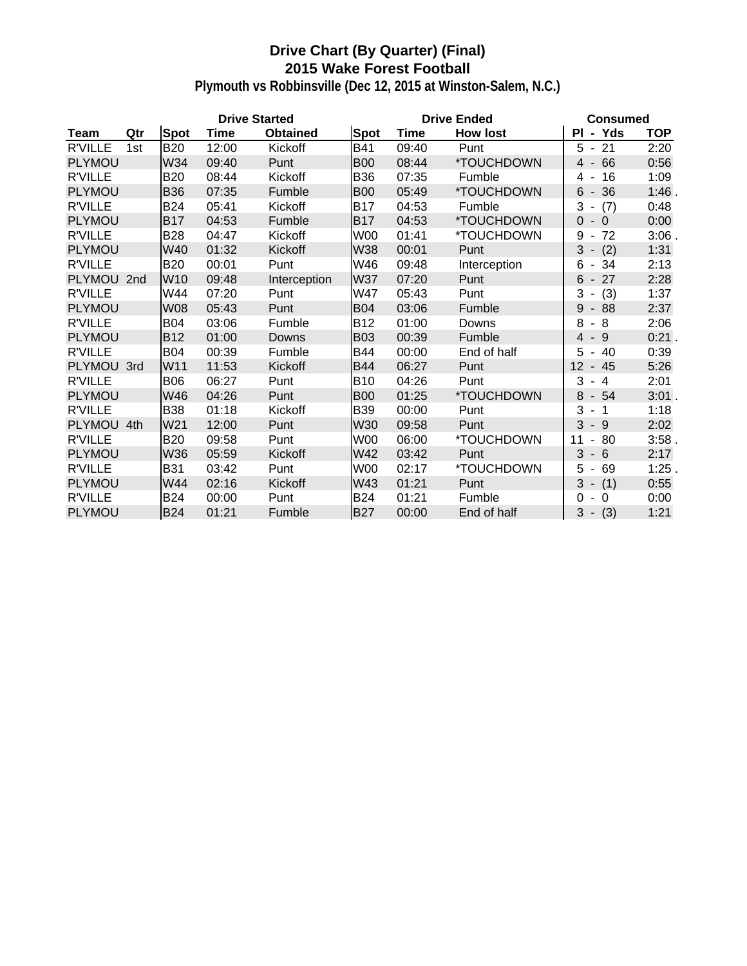# **Drive Chart (By Quarter) (Final) 2015 Wake Forest Football**

|                |     |                 | <b>Drive Started</b> |                 |                 |       | <b>Drive Ended</b>       | <b>Consumed</b>                       |            |  |
|----------------|-----|-----------------|----------------------|-----------------|-----------------|-------|--------------------------|---------------------------------------|------------|--|
| Team           | Qtr | <b>Spot</b>     | <b>Time</b>          | <b>Obtained</b> | <b>Spot</b>     | Time  | <b>How lost</b>          | - Yds<br>ΡI                           | <b>TOP</b> |  |
| <b>R'VILLE</b> | 1st | <b>B20</b>      | 12:00                | Kickoff         | <b>B41</b>      | 09:40 | Punt                     | 21<br>5<br>$\blacksquare$             | 2:20       |  |
| <b>PLYMOU</b>  |     | W34             | 09:40                | Punt            | <b>B00</b>      | 08:44 | <i><b>*TOUCHDOWN</b></i> | 66<br>$\overline{4}$<br>$\sim$        | 0:56       |  |
| <b>R'VILLE</b> |     | <b>B20</b>      | 08:44                | Kickoff         | <b>B36</b>      | 07:35 | Fumble                   | 16<br>4<br>$\overline{\phantom{a}}$   | 1:09       |  |
| <b>PLYMOU</b>  |     | <b>B36</b>      | 07:35                | Fumble          | <b>B00</b>      | 05:49 | *TOUCHDOWN               | 6<br>36<br>$\blacksquare$             | 1:46.      |  |
| <b>R'VILLE</b> |     | <b>B24</b>      | 05:41                | Kickoff         | <b>B17</b>      | 04:53 | Fumble                   | 3<br>(7)                              | 0:48       |  |
| <b>PLYMOU</b>  |     | <b>B17</b>      | 04:53                | Fumble          | <b>B17</b>      | 04:53 | *TOUCHDOWN               | $\overline{0}$<br>$-0$                | 0:00       |  |
| <b>R'VILLE</b> |     | <b>B28</b>      | 04:47                | Kickoff         | <b>W00</b>      | 01:41 | *TOUCHDOWN               | 9<br>72<br>$\blacksquare$             | 3:06       |  |
| <b>PLYMOU</b>  |     | W40             | 01:32                | Kickoff         | W38             | 00:01 | Punt                     | 3<br>(2)<br>$\overline{\phantom{a}}$  | 1:31       |  |
| <b>R'VILLE</b> |     | <b>B20</b>      | 00:01                | Punt            | W46             | 09:48 | Interception             | 6<br>34<br>$\blacksquare$             | 2:13       |  |
| PLYMOU 2nd     |     | W <sub>10</sub> | 09:48                | Interception    | <b>W37</b>      | 07:20 | Punt                     | 27<br>6<br>$\blacksquare$             | 2:28       |  |
| <b>R'VILLE</b> |     | W44             | 07:20                | Punt            | W47             | 05:43 | Punt                     | 3<br>(3)<br>$\blacksquare$            | 1:37       |  |
| <b>PLYMOU</b>  |     | <b>W08</b>      | 05:43                | Punt            | <b>B04</b>      | 03:06 | Fumble                   | 9<br>$-88$                            | 2:37       |  |
| <b>R'VILLE</b> |     | <b>B04</b>      | 03:06                | Fumble          | <b>B12</b>      | 01:00 | Downs                    | 8<br>8<br>$\overline{\phantom{a}}$    | 2:06       |  |
| <b>PLYMOU</b>  |     | <b>B12</b>      | 01:00                | Downs           | <b>B03</b>      | 00:39 | Fumble                   | $\overline{4}$<br>- 9                 | 0:21.      |  |
| <b>R'VILLE</b> |     | <b>B04</b>      | 00:39                | Fumble          | <b>B44</b>      | 00:00 | End of half              | 5<br>-40<br>$\overline{\phantom{a}}$  | 0:39       |  |
| PLYMOU 3rd     |     | W11             | 11:53                | Kickoff         | <b>B44</b>      | 06:27 | Punt                     | 12<br>- 45                            | 5:26       |  |
| <b>R'VILLE</b> |     | <b>B06</b>      | 06:27                | Punt            | <b>B10</b>      | 04:26 | Punt                     | 3<br>$\overline{4}$<br>$\blacksquare$ | 2:01       |  |
| <b>PLYMOU</b>  |     | W46             | 04:26                | Punt            | <b>B00</b>      | 01:25 | *TOUCHDOWN               | 8<br>$-54$                            | 3:01.      |  |
| <b>R'VILLE</b> |     | <b>B38</b>      | 01:18                | Kickoff         | <b>B39</b>      | 00:00 | Punt                     | 3<br>$\overline{1}$<br>$\blacksquare$ | 1:18       |  |
| PLYMOU 4th     |     | W <sub>21</sub> | 12:00                | Punt            | W30             | 09:58 | Punt                     | 3<br>$-9$                             | 2:02       |  |
| <b>R'VILLE</b> |     | <b>B20</b>      | 09:58                | Punt            | <b>W00</b>      | 06:00 | *TOUCHDOWN               | 11<br>80<br>$\overline{\phantom{a}}$  | 3:58.      |  |
| <b>PLYMOU</b>  |     | W36             | 05:59                | Kickoff         | W42             | 03:42 | Punt                     | 3<br>$-6$                             | 2:17       |  |
| <b>R'VILLE</b> |     | <b>B31</b>      | 03:42                | Punt            | W <sub>00</sub> | 02:17 | *TOUCHDOWN               | 5<br>69<br>$\blacksquare$             | $1:25$ .   |  |
| <b>PLYMOU</b>  |     | W44             | 02:16                | Kickoff         | W43             | 01:21 | Punt                     | $3 - (1)$                             | 0:55       |  |
| <b>R'VILLE</b> |     | <b>B24</b>      | 00:00                | Punt            | <b>B24</b>      | 01:21 | Fumble                   | 0<br>$\overline{0}$<br>$\blacksquare$ | 0:00       |  |
| <b>PLYMOU</b>  |     | <b>B24</b>      | 01:21                | Fumble          | <b>B27</b>      | 00:00 | End of half              | 3<br>$-(3)$                           | 1:21       |  |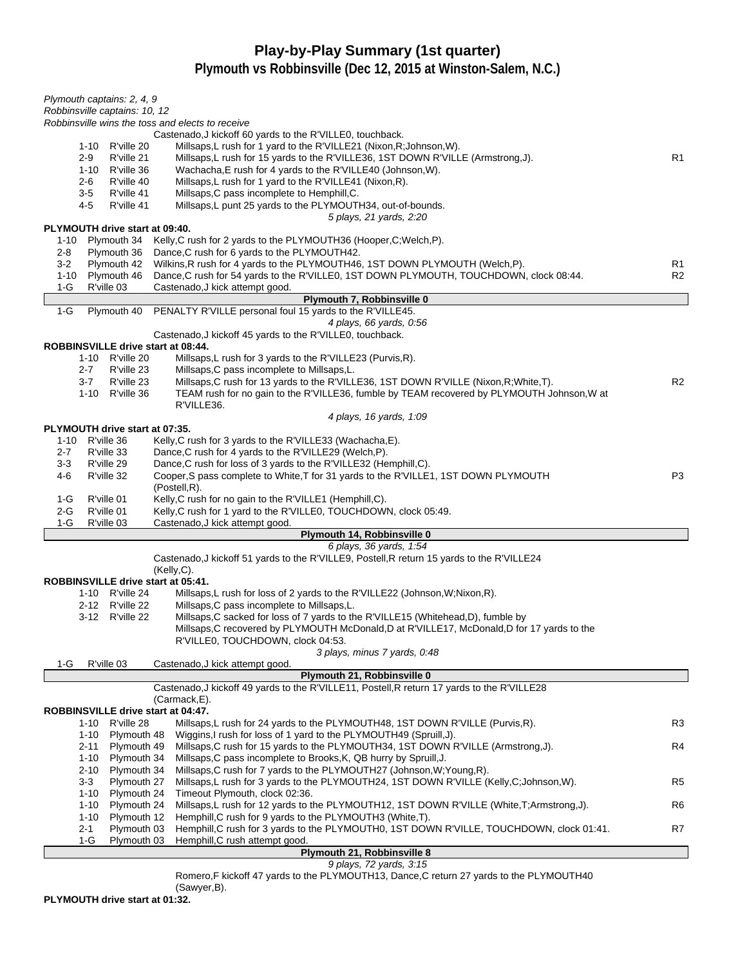# **Play-by-Play Summary (1st quarter)**

**Plymouth vs Robbinsville (Dec 12, 2015 at Winston-Salem, N.C.)**

| Plymouth captains: 2, 4, 9                                                                                                                                                                              |                |
|---------------------------------------------------------------------------------------------------------------------------------------------------------------------------------------------------------|----------------|
| Robbinsville captains: 10, 12                                                                                                                                                                           |                |
| Robbinsville wins the toss and elects to receive                                                                                                                                                        |                |
| Castenado, J kickoff 60 yards to the R'VILLE0, touchback.                                                                                                                                               |                |
| Millsaps, L rush for 1 yard to the R'VILLE21 (Nixon, R; Johnson, W).<br>1-10<br>R'ville 20<br>$2 - 9$<br>R'ville 21<br>Millsaps, L rush for 15 yards to the R'VILLE36, 1ST DOWN R'VILLE (Armstrong, J). | R1             |
| Wachacha, E rush for 4 yards to the R'VILLE40 (Johnson, W).<br>$1 - 10$<br>R'ville 36                                                                                                                   |                |
| $2 - 6$<br>R'ville 40<br>Millsaps, L rush for 1 yard to the R'VILLE41 (Nixon, R).                                                                                                                       |                |
| $3-5$<br>R'ville 41<br>Millsaps, C pass incomplete to Hemphill, C.                                                                                                                                      |                |
| R'ville 41<br>4-5<br>Millsaps, L punt 25 yards to the PLYMOUTH34, out-of-bounds.                                                                                                                        |                |
| 5 plays, 21 yards, 2:20                                                                                                                                                                                 |                |
| PLYMOUTH drive start at 09:40.                                                                                                                                                                          |                |
| Kelly, C rush for 2 yards to the PLYMOUTH36 (Hooper, C; Welch, P).<br>1-10<br>Plymouth 34                                                                                                               |                |
| $2 - 8$<br>Dance, C rush for 6 yards to the PLYMOUTH42.<br>Plymouth 36                                                                                                                                  |                |
| Plymouth 42<br>Wilkins, R rush for 4 yards to the PLYMOUTH46, 1ST DOWN PLYMOUTH (Welch, P).<br>$3-2$                                                                                                    | R1             |
| Plymouth 46<br>Dance, C rush for 54 yards to the R'VILLE0, 1ST DOWN PLYMOUTH, TOUCHDOWN, clock 08:44.<br>1-10                                                                                           | R <sub>2</sub> |
| R'ville 03<br>1-G<br>Castenado, J kick attempt good.                                                                                                                                                    |                |
| Plymouth 7, Robbinsville 0                                                                                                                                                                              |                |
| Plymouth 40 PENALTY R'VILLE personal foul 15 yards to the R'VILLE45.<br>$1-G$<br>4 plays, 66 yards, 0:56                                                                                                |                |
| Castenado, J kickoff 45 yards to the R'VILLE0, touchback.                                                                                                                                               |                |
| ROBBINSVILLE drive start at 08:44.                                                                                                                                                                      |                |
| 1-10 R'ville 20<br>Millsaps, L rush for 3 yards to the R'VILLE23 (Purvis, R).                                                                                                                           |                |
| $2 - 7$<br>Millsaps, C pass incomplete to Millsaps, L.<br>R'ville 23                                                                                                                                    |                |
| $3 - 7$<br>R'ville 23<br>Millsaps, C rush for 13 yards to the R'VILLE36, 1ST DOWN R'VILLE (Nixon, R; White, T).                                                                                         | R <sub>2</sub> |
| 1-10 R'ville 36<br>TEAM rush for no gain to the R'VILLE36, fumble by TEAM recovered by PLYMOUTH Johnson, W at                                                                                           |                |
| R'VILLE36.                                                                                                                                                                                              |                |
| 4 plays, 16 yards, 1:09                                                                                                                                                                                 |                |
| PLYMOUTH drive start at 07:35.                                                                                                                                                                          |                |
| R'ville 36<br>Kelly, C rush for 3 yards to the R'VILLE33 (Wachacha, E).<br>1-10                                                                                                                         |                |
| Dance, C rush for 4 yards to the R'VILLE29 (Welch, P).<br>$2 - 7$<br>R'ville 33                                                                                                                         |                |
| $3-3$<br>R'ville 29<br>Dance, C rush for loss of 3 yards to the R'VILLE32 (Hemphill, C).                                                                                                                |                |
| R'ville 32<br>Cooper, S pass complete to White, T for 31 yards to the R'VILLE1, 1ST DOWN PLYMOUTH<br>4-6<br>(Postell, R).                                                                               | P <sub>3</sub> |
| $1-G$<br>R'ville 01<br>Kelly, C rush for no gain to the R'VILLE1 (Hemphill, C).                                                                                                                         |                |
| 2-G<br>R'ville 01<br>Kelly, C rush for 1 yard to the R'VILLE0, TOUCHDOWN, clock 05:49.                                                                                                                  |                |
| $1-G$<br>R'ville 03<br>Castenado, J kick attempt good.                                                                                                                                                  |                |
| Plymouth 14, Robbinsville 0                                                                                                                                                                             |                |
| 6 plays, 36 yards, 1:54                                                                                                                                                                                 |                |
| Castenado, J kickoff 51 yards to the R'VILLE9, Postell, R return 15 yards to the R'VILLE24                                                                                                              |                |
| $(Kelly, C)$ .                                                                                                                                                                                          |                |
| ROBBINSVILLE drive start at 05:41.                                                                                                                                                                      |                |
| Millsaps, L rush for loss of 2 yards to the R'VILLE22 (Johnson, W; Nixon, R).<br>1-10 R'ville 24                                                                                                        |                |
| 2-12 R'ville 22<br>Millsaps, C pass incomplete to Millsaps, L.                                                                                                                                          |                |
| 3-12 R'ville 22<br>Millsaps, C sacked for loss of 7 yards to the R'VILLE15 (Whitehead, D), fumble by<br>Millsaps, C recovered by PLYMOUTH McDonald, D at R'VILLE17, McDonald, D for 17 yards to the     |                |
|                                                                                                                                                                                                         |                |
|                                                                                                                                                                                                         |                |
| R'VILLE0, TOUCHDOWN, clock 04:53.                                                                                                                                                                       |                |
| 3 plays, minus 7 yards, 0:48                                                                                                                                                                            |                |
| R'ville 03<br>1-G<br>Castenado, J kick attempt good.                                                                                                                                                    |                |
| Plymouth 21, Robbinsville 0                                                                                                                                                                             |                |
| Castenado, J kickoff 49 yards to the R'VILLE11, Postell, R return 17 yards to the R'VILLE28<br>(Carmack, E).                                                                                            |                |
| ROBBINSVILLE drive start at 04:47.                                                                                                                                                                      |                |
| R'ville 28<br>Millsaps, L rush for 24 yards to the PLYMOUTH48, 1ST DOWN R'VILLE (Purvis, R).<br>1-10                                                                                                    | R3             |
| Wiggins, I rush for loss of 1 yard to the PLYMOUTH49 (Spruill, J).<br>$1 - 10$<br>Plymouth 48                                                                                                           |                |
| Millsaps, C rush for 15 yards to the PLYMOUTH34, 1ST DOWN R'VILLE (Armstrong, J).<br>Plymouth 49<br>2-11                                                                                                | R4             |
| $1 - 10$<br>Plymouth 34<br>Millsaps, C pass incomplete to Brooks, K, QB hurry by Spruill, J.                                                                                                            |                |
| Millsaps, C rush for 7 yards to the PLYMOUTH27 (Johnson, W; Young, R).<br>$2 - 10$<br>Plymouth 34                                                                                                       |                |
| $3-3$<br>Plymouth 27<br>Millsaps, L rush for 3 yards to the PLYMOUTH24, 1ST DOWN R'VILLE (Kelly, C; Johnson, W).                                                                                        | R <sub>5</sub> |
| $1 - 10$<br>Plymouth 24<br>Timeout Plymouth, clock 02:36.                                                                                                                                               |                |
| Plymouth 24<br>Millsaps, L rush for 12 yards to the PLYMOUTH12, 1ST DOWN R'VILLE (White, T; Armstrong, J).<br>$1 - 10$                                                                                  | R6             |
| $1 - 10$<br>Plymouth 12<br>Hemphill, C rush for 9 yards to the PLYMOUTH3 (White, T).                                                                                                                    |                |
| Plymouth 03<br>Hemphill, C rush for 3 yards to the PLYMOUTH0, 1ST DOWN R'VILLE, TOUCHDOWN, clock 01:41.<br>2-1<br>$1-G$<br>Plymouth 03<br>Hemphill, C rush attempt good.                                | R7             |

9 plays, 72 yards, 3:15

Romero,F kickoff 47 yards to the PLYMOUTH13, Dance,C return 27 yards to the PLYMOUTH40

(Sawyer,B). **PLYMOUTH drive start at 01:32.**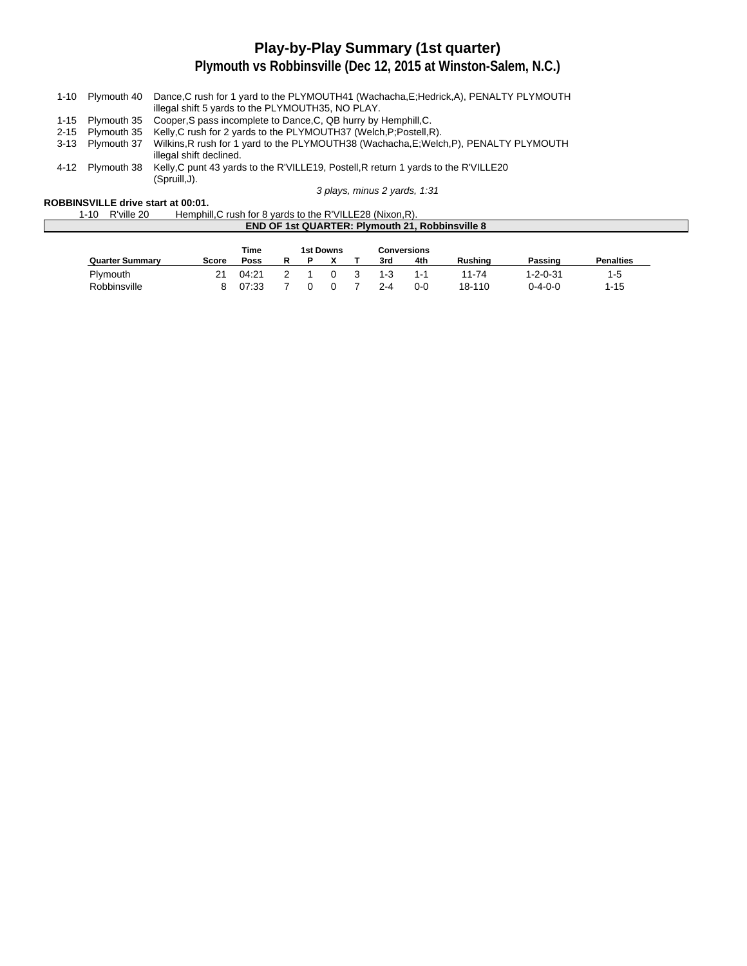# **Play-by-Play Summary (1st quarter)**

**Plymouth vs Robbinsville (Dec 12, 2015 at Winston-Salem, N.C.)**

|                  | 1-10 Plymouth 40 Dance, C rush for 1 yard to the PLYMOUTH41 (Wachacha, E; Hedrick, A), PENALTY PLYMOUTH |
|------------------|---------------------------------------------------------------------------------------------------------|
|                  | illegal shift 5 yards to the PLYMOUTH35, NO PLAY.                                                       |
|                  | 1-15 Plymouth 35 Cooper, S pass incomplete to Dance, C, QB hurry by Hemphill, C.                        |
| 2-15 Plymouth 35 | Kelly, C rush for 2 yards to the PLYMOUTH37 (Welch, P; Postell, R).                                     |
| 3-13 Plymouth 37 | Wilkins, R rush for 1 yard to the PLYMOUTH38 (Wachacha, E; Welch, P), PENALTY PLYMOUTH                  |
|                  | illegal shift declined.                                                                                 |
| 4-12 Plymouth 38 | Kelly, C punt 43 yards to the R'VILLE19, Postell, R return 1 yards to the R'VILLE20                     |
|                  | (Spruill.J).                                                                                            |
|                  | 3 plays, minus 2 yards, 1:31                                                                            |

**ROBBINSVILLE drive start at 00:01.**

| $1 - 10$ | R'ville 20 | Hemphill, C rush for 8 yards to the R'VILLE28 (Nixon, R). |
|----------|------------|-----------------------------------------------------------|
|          |            | <b>END OF 1st QUARTER: Plymouth 21. Robbinsville 8</b>    |
|          |            |                                                           |

|                        |       | Time  |   | 1st Downs<br>Conversions |          |    |         |         |                |                  |                  |
|------------------------|-------|-------|---|--------------------------|----------|----|---------|---------|----------------|------------------|------------------|
| <b>Quarter Summary</b> | Score | Poss  | R |                          |          |    | 3rd     | 4th     | <b>Rushing</b> | Passing          | <b>Penalties</b> |
| Plymouth               | 21    | 04:21 |   |                          | $\Omega$ | -3 | $1 - 3$ | $1 - 1$ | 11-74          | $1 - 2 - 0 - 31$ | 1-5              |
| Robbinsville           | 8.    | 07:33 |   |                          |          |    | 2-4     | $0 - 0$ | 18-110         | 0-4-0-0          | $1 - 15$         |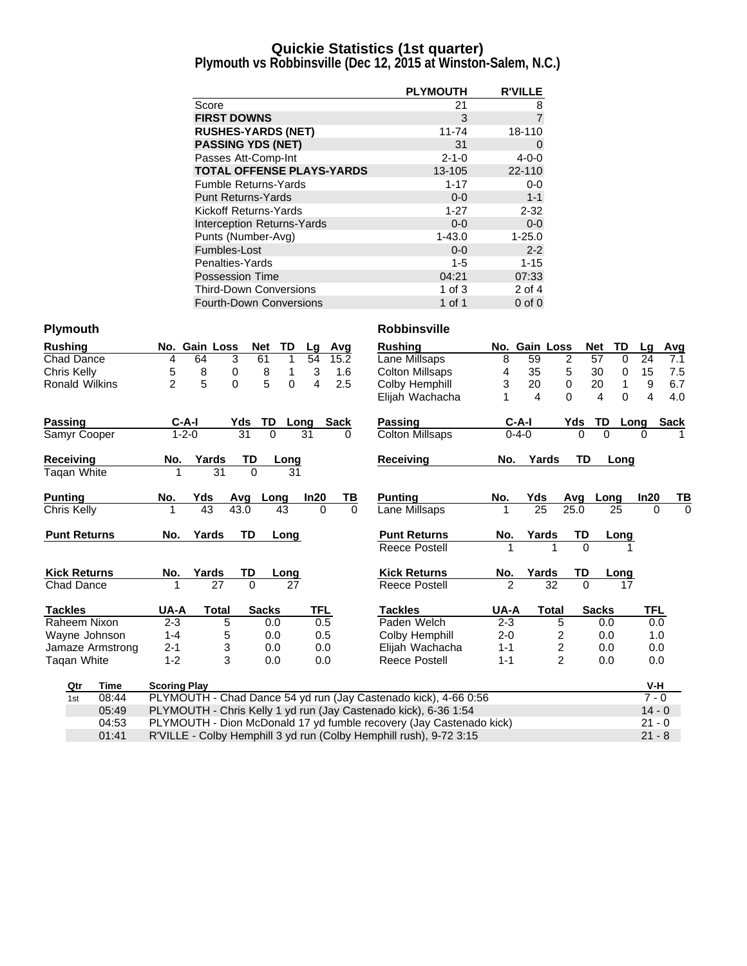### **Quickie Statistics (1st quarter)**

**Plymouth vs Robbinsville (Dec 12, 2015 at Winston-Salem, N.C.)**

|                                  | <b>PLYMOUTH</b> | <b>R'VILLE</b> |
|----------------------------------|-----------------|----------------|
| Score                            | 21              | 8              |
| <b>FIRST DOWNS</b>               | 3               | $\overline{7}$ |
| <b>RUSHES-YARDS (NET)</b>        | 11-74           | 18-110         |
| <b>PASSING YDS (NET)</b>         | 31              | 0              |
| Passes Att-Comp-Int              | $2 - 1 - 0$     | $4 - 0 - 0$    |
| <b>TOTAL OFFENSE PLAYS-YARDS</b> | 13-105          | 22-110         |
| <b>Fumble Returns-Yards</b>      | $1 - 17$        | $0-0$          |
| <b>Punt Returns-Yards</b>        | $0 - 0$         | $1 - 1$        |
| Kickoff Returns-Yards            | $1 - 27$        | $2 - 32$       |
| Interception Returns-Yards       | $0 - 0$         | $0-0$          |
| Punts (Number-Avg)               | $1 - 43.0$      | $1 - 25.0$     |
| Fumbles-Lost                     | $0 - 0$         | $2 - 2$        |
| Penalties-Yards                  | $1 - 5$         | $1 - 15$       |
| <b>Possession Time</b>           | 04:21           | 07:33          |
| <b>Third-Down Conversions</b>    | 1 of $3$        | $2$ of $4$     |
| <b>Fourth-Down Conversions</b>   | 1 of 1          | $0$ of $0$     |

| <b>Rushing</b>        |                                                                                | No. Gain Loss |                | TD<br><b>Net</b> | Lg         | Avg         | <b>Rushing</b>                                                      |             | No. Gain Loss   |                  | <b>Net</b><br><b>TD</b> | Lq       | Avg         |
|-----------------------|--------------------------------------------------------------------------------|---------------|----------------|------------------|------------|-------------|---------------------------------------------------------------------|-------------|-----------------|------------------|-------------------------|----------|-------------|
| <b>Chad Dance</b>     | 4                                                                              | 64            | 3              | 61<br>1          | 54         | 15.2        | Lane Millsaps                                                       | 8           | 59              | $\overline{c}$   | 57<br>$\Omega$          | 24       | 7.1         |
| Chris Kelly           | 5                                                                              | 8             | 0              | 8<br>1           | 3          | 1.6         | <b>Colton Millsaps</b>                                              | 4           | 35              | 5                | 30<br>0                 | 15       | 7.5         |
| <b>Ronald Wilkins</b> | $\overline{2}$                                                                 | 5             | $\overline{0}$ | 5<br>0           | 4          | 2.5         | Colby Hemphill                                                      | 3           | 20              | 0                | 20<br>1                 | 9        | 6.7         |
|                       |                                                                                |               |                |                  |            |             | Elijah Wachacha                                                     |             | 4               | $\Omega$         | 4<br>$\Omega$           | 4        | 4.0         |
| Passing               | $C-A-I$                                                                        |               | Yds            | <b>TD</b>        | Long       | <b>Sack</b> | Passing                                                             | $C-A-I$     |                 | Yds              | TD.                     | Long     | <b>Sack</b> |
| Samyr Cooper          | $1 - 2 - 0$                                                                    |               | 31             | $\Omega$         | 31         | 0           | <b>Colton Millsaps</b>                                              | $0 - 4 - 0$ |                 | 0                | $\Omega$                | $\Omega$ |             |
| <b>Receiving</b>      | No.                                                                            | Yards         | TD             | Long             |            |             | <b>Receiving</b>                                                    | No.         | Yards           | TD               | Long                    |          |             |
| Tagan White           |                                                                                | 31            | $\Omega$       | 31               |            |             |                                                                     |             |                 |                  |                         |          |             |
| <b>Punting</b>        | No.                                                                            | Yds           | Avq            | Long             | In20       | ТВ          | <b>Punting</b>                                                      | No.         | Yds             | Avq              | Long                    | In20     | ΤВ          |
| Chris Kelly           |                                                                                | 43            | 43.0           | 43               | $\Omega$   | $\Omega$    | Lane Millsaps                                                       |             | $\overline{25}$ | 25.0             | 25                      | $\Omega$ | 0           |
| <b>Punt Returns</b>   | No.                                                                            | Yards         | <b>TD</b>      | Long             |            |             | <b>Punt Returns</b>                                                 | No.         | Yards           | TD               | Long                    |          |             |
|                       |                                                                                |               |                |                  |            |             | <b>Reece Postell</b>                                                |             |                 | $\Omega$         |                         |          |             |
| <b>Kick Returns</b>   | No.                                                                            | Yards         | TD             | Long             |            |             | <b>Kick Returns</b>                                                 | No.         | Yards           | TD               | Long                    |          |             |
| Chad Dance            |                                                                                | 27            | $\Omega$       | 27               |            |             | <b>Reece Postell</b>                                                | 2           | 32              | $\Omega$         | 17                      |          |             |
| <b>Tackles</b>        | UA-A                                                                           | Total         |                | <b>Sacks</b>     | <b>TFL</b> |             | <b>Tackles</b>                                                      | UA-A        | <b>Total</b>    |                  | <b>Sacks</b>            | TFL      |             |
| Raheem Nixon          | $2 - 3$                                                                        | 5             |                | 0.0              | 0.5        |             | Paden Welch                                                         | $2 - 3$     |                 | 5                | 0.0                     | 0.0      |             |
| Wayne Johnson         | $1 - 4$                                                                        | 5             |                | 0.0              | 0.5        |             | Colby Hemphill                                                      | $2 - 0$     |                 | $\overline{c}$   | 0.0                     | 1.0      |             |
| Jamaze Armstrong      | $2 - 1$                                                                        | 3             |                | 0.0              | 0.0        |             | Elijah Wachacha                                                     | $1 - 1$     |                 | $\boldsymbol{2}$ | 0.0                     | 0.0      |             |
| Taqan White           | $1 - 2$                                                                        | 3             |                | 0.0              | 0.0        |             | Reece Postell                                                       | $1 - 1$     |                 | $\overline{2}$   | 0.0                     | 0.0      |             |
| <b>Time</b><br>Qtr    | <b>Scoring Play</b>                                                            |               |                |                  |            |             |                                                                     |             |                 |                  |                         | V-H      |             |
| 08:44<br>1st          |                                                                                |               |                |                  |            |             | PLYMOUTH - Chad Dance 54 yd run (Jay Castenado kick), 4-66 0:56     |             |                 |                  |                         | $7 - 0$  |             |
| 05:49                 |                                                                                |               |                |                  |            |             | PLYMOUTH - Chris Kelly 1 yd run (Jay Castenado kick), 6-36 1:54     |             |                 |                  |                         | $14 - 0$ |             |
| 04:53                 |                                                                                |               |                |                  |            |             | PLYMOUTH - Dion McDonald 17 yd fumble recovery (Jay Castenado kick) |             |                 |                  |                         | $21 - 0$ |             |
| 01:41                 | R'VILLE - Colby Hemphill 3 yd run (Colby Hemphill rush), 9-72 3:15<br>$21 - 8$ |               |                |                  |            |             |                                                                     |             |                 |                  |                         |          |             |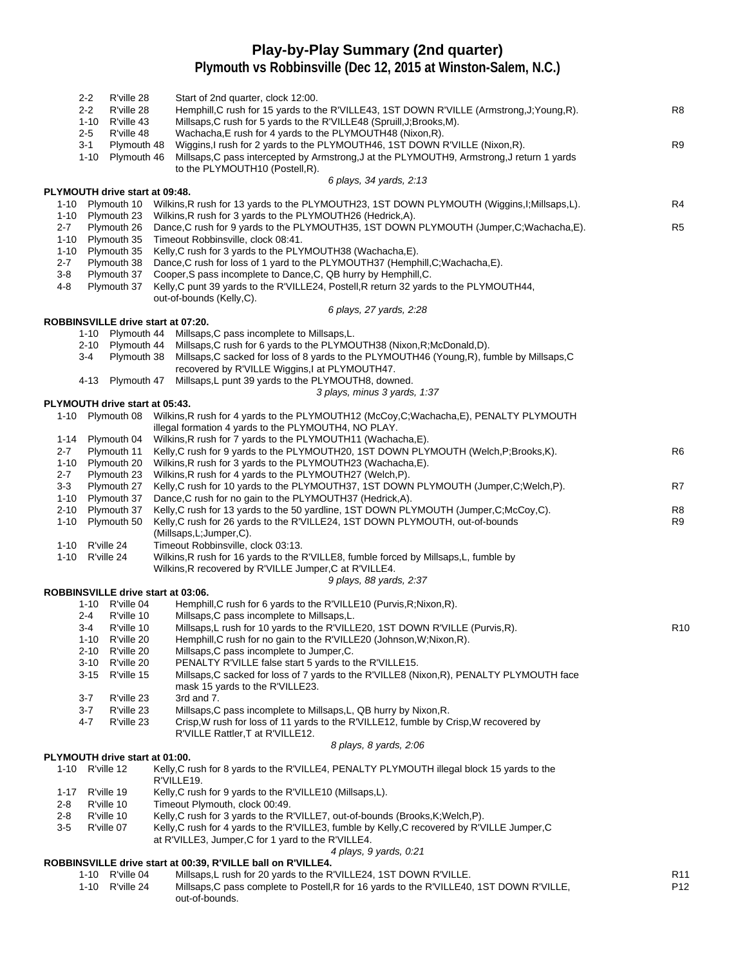### **Play-by-Play Summary (2nd quarter)**

|                      | $2 - 2$<br>$2 - 2$                     | R'ville 28<br>R'ville 28                               | Start of 2nd quarter, clock 12:00.<br>Hemphill, C rush for 15 yards to the R'VILLE43, 1ST DOWN R'VILLE (Armstrong, J; Young, R).                                                                                                                                                                                  | R8              |
|----------------------|----------------------------------------|--------------------------------------------------------|-------------------------------------------------------------------------------------------------------------------------------------------------------------------------------------------------------------------------------------------------------------------------------------------------------------------|-----------------|
|                      | $1 - 10$<br>$2 - 5$<br>3-1<br>$1 - 10$ | R'ville 43<br>R'ville 48<br>Plymouth 48<br>Plymouth 46 | Millsaps, C rush for 5 yards to the R'VILLE48 (Spruill, J; Brooks, M).<br>Wachacha, E rush for 4 yards to the PLYMOUTH48 (Nixon, R).<br>Wiggins, I rush for 2 yards to the PLYMOUTH46, 1ST DOWN R'VILLE (Nixon, R).<br>Millsaps, C pass intercepted by Armstrong, J at the PLYMOUTH9, Armstrong, J return 1 yards | R <sub>9</sub>  |
|                      |                                        |                                                        | to the PLYMOUTH10 (Postell, R).                                                                                                                                                                                                                                                                                   |                 |
|                      |                                        |                                                        | 6 plays, 34 yards, 2:13                                                                                                                                                                                                                                                                                           |                 |
| $1 - 10$             |                                        | PLYMOUTH drive start at 09:48.<br>Plymouth 10          | Wilkins, R rush for 13 yards to the PLYMOUTH23, 1ST DOWN PLYMOUTH (Wiggins, I; Millsaps, L).                                                                                                                                                                                                                      | R4              |
| 1-10                 |                                        | Plymouth 23                                            | Wilkins, R rush for 3 yards to the PLYMOUTH26 (Hedrick, A).                                                                                                                                                                                                                                                       |                 |
| $2 - 7$              |                                        | Plymouth 26                                            | Dance, C rush for 9 yards to the PLYMOUTH35, 1ST DOWN PLYMOUTH (Jumper, C; Wachacha, E).                                                                                                                                                                                                                          | R <sub>5</sub>  |
| $1 - 10$<br>$1 - 10$ |                                        | Plymouth 35<br>Plymouth 35                             | Timeout Robbinsville, clock 08:41.<br>Kelly, C rush for 3 yards to the PLYMOUTH38 (Wachacha, E).                                                                                                                                                                                                                  |                 |
| 2-7                  |                                        | Plymouth 38                                            | Dance, C rush for loss of 1 yard to the PLYMOUTH37 (Hemphill, C; Wachacha, E).                                                                                                                                                                                                                                    |                 |
| $3 - 8$              |                                        | Plymouth 37                                            | Cooper, S pass incomplete to Dance, C, QB hurry by Hemphill, C.                                                                                                                                                                                                                                                   |                 |
| 4-8                  |                                        | Plymouth 37                                            | Kelly, C punt 39 yards to the R'VILLE24, Postell, R return 32 yards to the PLYMOUTH44,                                                                                                                                                                                                                            |                 |
|                      |                                        |                                                        | out-of-bounds (Kelly,C).<br>6 plays, 27 yards, 2:28                                                                                                                                                                                                                                                               |                 |
|                      |                                        |                                                        | ROBBINSVILLE drive start at 07:20.                                                                                                                                                                                                                                                                                |                 |
|                      |                                        |                                                        | 1-10 Plymouth 44 Millsaps, C pass incomplete to Millsaps, L.                                                                                                                                                                                                                                                      |                 |
|                      | 3-4                                    | 2-10 Plymouth 44<br>Plymouth 38                        | Millsaps, C rush for 6 yards to the PLYMOUTH38 (Nixon, R; McDonald, D).                                                                                                                                                                                                                                           |                 |
|                      |                                        |                                                        | Millsaps, C sacked for loss of 8 yards to the PLYMOUTH46 (Young, R), fumble by Millsaps, C<br>recovered by R'VILLE Wiggins,I at PLYMOUTH47.                                                                                                                                                                       |                 |
|                      | 4-13                                   | Plymouth 47                                            | Millsaps, L punt 39 yards to the PLYMOUTH8, downed.                                                                                                                                                                                                                                                               |                 |
|                      |                                        |                                                        | 3 plays, minus 3 yards, 1:37                                                                                                                                                                                                                                                                                      |                 |
|                      |                                        | PLYMOUTH drive start at 05:43.                         |                                                                                                                                                                                                                                                                                                                   |                 |
| 1-10                 |                                        | Plymouth 08                                            | Wilkins, R rush for 4 yards to the PLYMOUTH12 (McCoy, C; Wachacha, E), PENALTY PLYMOUTH<br>illegal formation 4 yards to the PLYMOUTH4, NO PLAY.                                                                                                                                                                   |                 |
| 1-14                 |                                        | Plymouth 04                                            | Wilkins, R rush for 7 yards to the PLYMOUTH11 (Wachacha, E).                                                                                                                                                                                                                                                      |                 |
| $2 - 7$              |                                        | Plymouth 11                                            | Kelly, C rush for 9 yards to the PLYMOUTH20, 1ST DOWN PLYMOUTH (Welch, P; Brooks, K).                                                                                                                                                                                                                             | R6              |
| $1 - 10$             |                                        | Plymouth 20                                            | Wilkins, R rush for 3 yards to the PLYMOUTH23 (Wachacha, E).                                                                                                                                                                                                                                                      |                 |
| 2-7<br>$3 - 3$       |                                        | Plymouth 23<br>Plymouth 27                             | Wilkins, R rush for 4 yards to the PLYMOUTH27 (Welch, P).<br>Kelly, C rush for 10 yards to the PLYMOUTH37, 1ST DOWN PLYMOUTH (Jumper, C; Welch, P).                                                                                                                                                               | R7              |
| $1 - 10$             |                                        | Plymouth 37                                            | Dance, C rush for no gain to the PLYMOUTH37 (Hedrick, A).                                                                                                                                                                                                                                                         |                 |
| $2 - 10$             |                                        | Plymouth 37                                            | Kelly, C rush for 13 yards to the 50 yardline, 1ST DOWN PLYMOUTH (Jumper, C; McCoy, C).                                                                                                                                                                                                                           | R8              |
| $1 - 10$             |                                        | Plymouth 50                                            | Kelly, C rush for 26 yards to the R'VILLE24, 1ST DOWN PLYMOUTH, out-of-bounds                                                                                                                                                                                                                                     | R <sub>9</sub>  |
| 1-10                 |                                        | R'ville 24                                             | (Millsaps, L; Jumper, C).<br>Timeout Robbinsville, clock 03:13.                                                                                                                                                                                                                                                   |                 |
| $1 - 10$             |                                        | R'ville 24                                             | Wilkins, R rush for 16 yards to the R'VILLE8, fumble forced by Millsaps, L, fumble by                                                                                                                                                                                                                             |                 |
|                      |                                        |                                                        | Wilkins, R recovered by R'VILLE Jumper, C at R'VILLE4.                                                                                                                                                                                                                                                            |                 |
|                      |                                        |                                                        | 9 plays, 88 yards, 2:37                                                                                                                                                                                                                                                                                           |                 |
|                      |                                        |                                                        | ROBBINSVILLE drive start at 03:06.<br>Hemphill, C rush for 6 yards to the R'VILLE10 (Purvis, R; Nixon, R).                                                                                                                                                                                                        |                 |
|                      | 2-4                                    | 1-10 R'ville 04<br>R'ville 10                          | Millsaps, C pass incomplete to Millsaps, L.                                                                                                                                                                                                                                                                       |                 |
|                      | 3-4                                    | R'ville 10                                             | Millsaps, L rush for 10 yards to the R'VILLE20, 1ST DOWN R'VILLE (Purvis, R).                                                                                                                                                                                                                                     | R <sub>10</sub> |
|                      |                                        | 1-10 R'ville 20                                        | Hemphill, C rush for no gain to the R'VILLE20 (Johnson, W; Nixon, R).                                                                                                                                                                                                                                             |                 |
|                      | 2-10                                   | R'ville 20                                             | Millsaps, C pass incomplete to Jumper, C.                                                                                                                                                                                                                                                                         |                 |
|                      | $3 - 10$<br>$3 - 15$                   | R'ville 20<br>R'ville 15                               | PENALTY R'VILLE false start 5 yards to the R'VILLE15.<br>Millsaps, C sacked for loss of 7 yards to the R'VILLE8 (Nixon, R), PENALTY PLYMOUTH face                                                                                                                                                                 |                 |
|                      |                                        |                                                        | mask 15 yards to the R'VILLE23.                                                                                                                                                                                                                                                                                   |                 |
|                      | $3 - 7$                                | R'ville 23                                             | 3rd and 7.                                                                                                                                                                                                                                                                                                        |                 |
|                      | $3 - 7$<br>4-7                         | R'ville 23<br>R'ville 23                               | Millsaps, C pass incomplete to Millsaps, L, QB hurry by Nixon, R.<br>Crisp, W rush for loss of 11 yards to the R'VILLE12, fumble by Crisp, W recovered by<br>R'VILLE Rattler, T at R'VILLE12.                                                                                                                     |                 |
|                      |                                        |                                                        | 8 plays, 8 yards, 2:06                                                                                                                                                                                                                                                                                            |                 |
|                      |                                        | PLYMOUTH drive start at 01:00.                         |                                                                                                                                                                                                                                                                                                                   |                 |
|                      | 1-10 R'ville 12                        |                                                        | Kelly, C rush for 8 yards to the R'VILLE4, PENALTY PLYMOUTH illegal block 15 yards to the<br>R'VILLE19.                                                                                                                                                                                                           |                 |
| 1-17<br>2-8          |                                        | R'ville 19<br>R'ville 10                               | Kelly, C rush for 9 yards to the R'VILLE10 (Millsaps, L).<br>Timeout Plymouth, clock 00:49.                                                                                                                                                                                                                       |                 |
| $2 - 8$              |                                        | R'ville 10                                             | Kelly, C rush for 3 yards to the R'VILLE7, out-of-bounds (Brooks, K; Welch, P).                                                                                                                                                                                                                                   |                 |
| $3-5$                |                                        | R'ville 07                                             | Kelly, C rush for 4 yards to the R'VILLE3, fumble by Kelly, C recovered by R'VILLE Jumper, C                                                                                                                                                                                                                      |                 |
|                      |                                        |                                                        | at R'VILLE3, Jumper, C for 1 yard to the R'VILLE4.                                                                                                                                                                                                                                                                |                 |
|                      |                                        |                                                        | 4 plays, 9 yards, 0:21<br>ROBBINSVILLE drive start at 00:39, R'VILLE ball on R'VILLE4.                                                                                                                                                                                                                            |                 |
|                      |                                        | 1-10 R'ville 04                                        | Millsaps, L rush for 20 yards to the R'VILLE24, 1ST DOWN R'VILLE.                                                                                                                                                                                                                                                 | R <sub>11</sub> |
|                      |                                        | 1-10 R'ville 24                                        | Millsaps, C pass complete to Postell, R for 16 yards to the R'VILLE40, 1ST DOWN R'VILLE,<br>out-of-bounds.                                                                                                                                                                                                        | P <sub>12</sub> |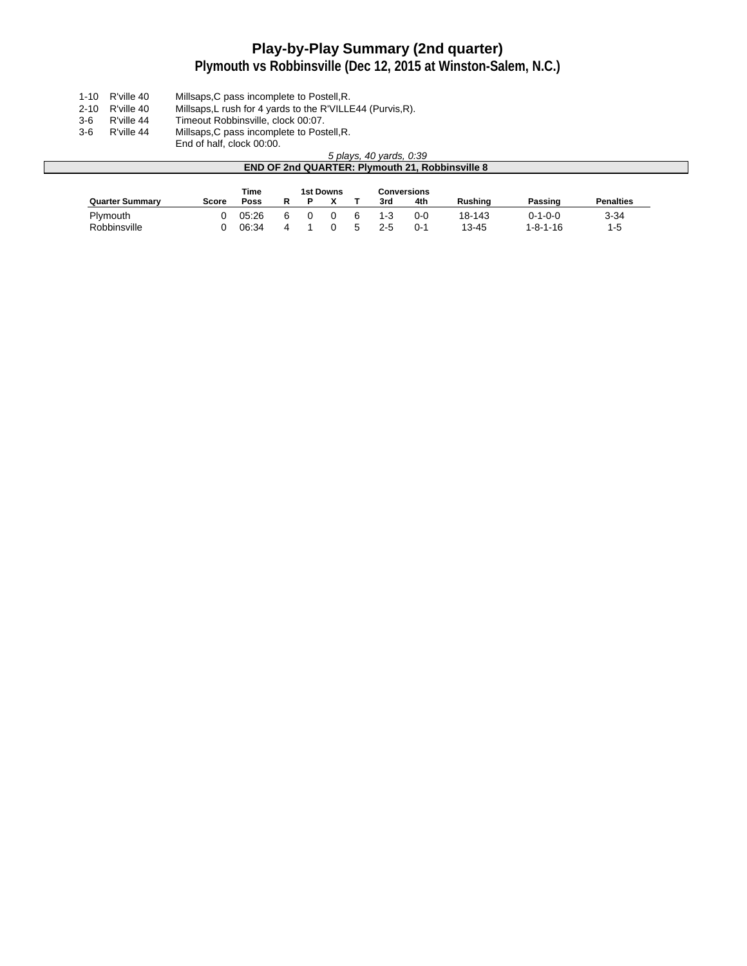# **Play-by-Play Summary (2nd quarter)**

### **Plymouth vs Robbinsville (Dec 12, 2015 at Winston-Salem, N.C.)**

- 1-10 R'ville 40 Millsaps,C pass incomplete to Postell,R.
- 2-10 R'ville 40 Millsaps,L rush for 4 yards to the R'VILLE44 (Purvis,R).
- 3-6 R'ville 44 Timeout Robbinsville, clock 00:07.<br>3-6 R'ville 44 Millsaps,C pass incomplete to Post
- 3-6 R'ville 44 Millsaps,C pass incomplete to Postell,R.
	- End of half, clock 00:00.

#### 5 plays, 40 yards, 0:39 **END OF 2nd QUARTER: Plymouth 21, Robbinsville 8**

|                        |       | Time  |  | 1st Downs |         | Conversions |         |                  |                  |
|------------------------|-------|-------|--|-----------|---------|-------------|---------|------------------|------------------|
| <b>Quarter Summary</b> | Score | Poss  |  |           | 3rd     | 4th         | Rushina | Passing          | <b>Penalties</b> |
| Plymouth               |       | 05.26 |  |           | $1 - 3$ | $0 - 0$     | 18-143  | $0 - 1 - 0 - 0$  | $3 - 34$         |
| Robbinsville           |       | 06:34 |  |           | $2 - 5$ | $0 - 1$     | 13-45   | $1 - 8 - 1 - 16$ | $1-5$            |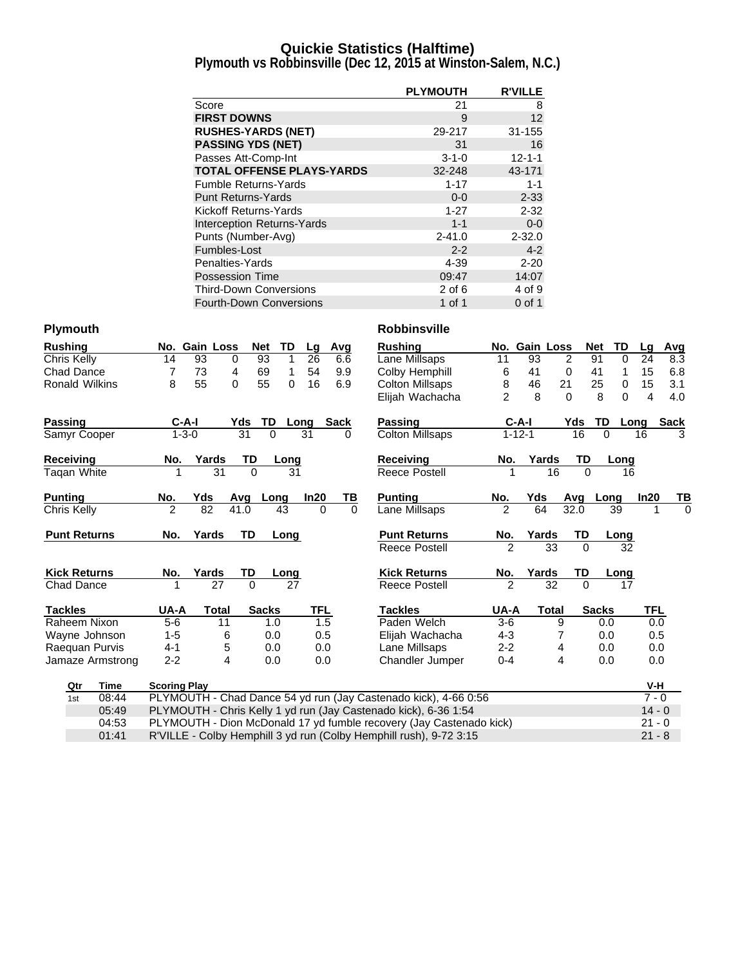### **Quickie Statistics (Halftime)**

**Plymouth vs Robbinsville (Dec 12, 2015 at Winston-Salem, N.C.)**

|                                   | <b>PLYMOUTH</b> | <b>R'VILLE</b> |
|-----------------------------------|-----------------|----------------|
| Score                             | 21              | 8              |
| <b>FIRST DOWNS</b>                | 9               | 12             |
| <b>RUSHES-YARDS (NET)</b>         | 29-217          | 31-155         |
| <b>PASSING YDS (NET)</b>          | 31              | 16             |
| Passes Att-Comp-Int               | $3 - 1 - 0$     | $12 - 1 - 1$   |
| <b>TOTAL OFFENSE PLAYS-YARDS</b>  | 32-248          | 43-171         |
| <b>Fumble Returns-Yards</b>       | $1 - 17$        | $1 - 1$        |
| <b>Punt Returns-Yards</b>         | $0 - 0$         | $2 - 33$       |
| Kickoff Returns-Yards             | $1 - 27$        | $2 - 32$       |
| <b>Interception Returns-Yards</b> | $1 - 1$         | $0 - 0$        |
| Punts (Number-Avg)                | $2 - 41.0$      | $2 - 32.0$     |
| Fumbles-Lost                      | $2 - 2$         | $4 - 2$        |
| Penalties-Yards                   | 4-39            | $2 - 20$       |
| <b>Possession Time</b>            | 09:47           | 14:07          |
| <b>Third-Down Conversions</b>     | $2$ of 6        | 4 of 9         |
| <b>Fourth-Down Conversions</b>    | 1 of 1          | 0 of 1         |

| <b>Rushing</b> |                       |                                                                                | No. Gain Loss  | <b>Net</b>   | TD       | Lg         | Avg         |          | <b>Rushing</b>                                                      | No. Gain Loss  |              |                 |           | <b>Net</b><br>TD  | Lq       | Avg         |
|----------------|-----------------------|--------------------------------------------------------------------------------|----------------|--------------|----------|------------|-------------|----------|---------------------------------------------------------------------|----------------|--------------|-----------------|-----------|-------------------|----------|-------------|
| Chris Kelly    |                       | 14                                                                             | 93<br>0        | 93           | 1        | 26         | 6.6         |          | Lane Millsaps                                                       | 11             | 93           |                 | 2         | 91<br>$\Omega$    | 24       | 8.3         |
|                | <b>Chad Dance</b>     | 7                                                                              | 73<br>4        | 69           | 1        | 54         | 9.9         |          | Colby Hemphill                                                      | 6              | 41           |                 | 0         | 41<br>1           | 15       | 6.8         |
|                | <b>Ronald Wilkins</b> | 8                                                                              | 55<br>$\Omega$ | 55           | $\Omega$ | 16         | 6.9         |          | <b>Colton Millsaps</b>                                              | 8              | 46           | 21              |           | 25<br>$\mathbf 0$ | 15       | 3.1         |
|                |                       |                                                                                |                |              |          |            |             |          | Elijah Wachacha                                                     | $\mathfrak{p}$ | 8            |                 | $\Omega$  | 8<br>$\Omega$     | 4        | 4.0         |
| Passing        |                       | $C-A-I$                                                                        |                | Yds          | TD       | Long       | <b>Sack</b> |          | Passing                                                             |                | $C-A-I$      |                 | Yds       | TD                | Long     | <b>Sack</b> |
|                | Samyr Cooper          | $1 - 3 - 0$                                                                    |                | 31           | $\Omega$ | 31         |             | 0        | <b>Colton Millsaps</b>                                              |                | $1 - 12 - 1$ |                 | 16        | $\Omega$          | 16       | 3           |
| Receiving      |                       | No.                                                                            | Yards          | TD           | Long     |            |             |          | <b>Receiving</b>                                                    | No.            |              | Yards           | TD        | Long              |          |             |
|                | <b>Tagan White</b>    |                                                                                | 31             | $\Omega$     | 31       |            |             |          | <b>Reece Postell</b>                                                |                |              | 16              | $\Omega$  | 16                |          |             |
| <b>Punting</b> |                       | No.                                                                            | Yds            | Avg          | Long     | In20       |             | ТВ       | <b>Punting</b>                                                      | No.            | Yds          |                 | Avg       | Long              | In20     | ΤВ          |
| Chris Kelly    |                       | $\overline{2}$                                                                 | 82             | 41.0         | 43       |            | $\Omega$    | $\Omega$ | Lane Millsaps                                                       | $\overline{2}$ | 64           |                 | 32.0      | 39                |          | $\Omega$    |
|                | <b>Punt Returns</b>   | No.                                                                            | Yards          | <b>TD</b>    | Long     |            |             |          | <b>Punt Returns</b>                                                 | No.            | Yards        |                 | TD        | Long              |          |             |
|                |                       |                                                                                |                |              |          |            |             |          | Reece Postell                                                       | $\mathfrak{p}$ |              | $\overline{33}$ | $\Omega$  | 32                |          |             |
|                | <b>Kick Returns</b>   | No.                                                                            | Yards          | TD           | Long     |            |             |          | <b>Kick Returns</b>                                                 | No.            | Yards        |                 | <b>TD</b> | Long              |          |             |
|                | Chad Dance            |                                                                                | 27             | $\Omega$     | 27       |            |             |          | Reece Postell                                                       | 2              |              | $\overline{32}$ | $\Omega$  | 17                |          |             |
| <b>Tackles</b> |                       | UA-A                                                                           | <b>Total</b>   | <b>Sacks</b> |          | <b>TFL</b> |             |          | <b>Tackles</b>                                                      | UA-A           |              | <b>Total</b>    |           | <b>Sacks</b>      | TFL      |             |
|                | Raheem Nixon          | $5-6$                                                                          | 11             |              | 1.0      |            | 1.5         |          | Paden Welch                                                         | $3-6$          |              | 9               |           | 0.0               | 0.0      |             |
|                | Wayne Johnson         | $1 - 5$                                                                        | 6              |              | 0.0      |            | 0.5         |          | Elijah Wachacha                                                     | $4 - 3$        |              | 7               |           | 0.0               | 0.5      |             |
|                | Raequan Purvis        | $4 - 1$                                                                        | 5              |              | 0.0      | 0.0        |             |          | Lane Millsaps                                                       | $2 - 2$        |              | 4               |           | 0.0               | 0.0      |             |
|                | Jamaze Armstrong      | $2 - 2$                                                                        | 4              |              | 0.0      | 0.0        |             |          | Chandler Jumper                                                     | $0 - 4$        |              | 4               |           | 0.0               | 0.0      |             |
|                | <b>Time</b><br>Qtr    | <b>Scoring Play</b>                                                            |                |              |          |            |             |          |                                                                     |                |              |                 |           |                   | V-H      |             |
| 1st            | 08:44                 |                                                                                |                |              |          |            |             |          | PLYMOUTH - Chad Dance 54 yd run (Jay Castenado kick), 4-66 0:56     |                |              |                 |           |                   | $7 - 0$  |             |
|                | 05:49                 |                                                                                |                |              |          |            |             |          | PLYMOUTH - Chris Kelly 1 yd run (Jay Castenado kick), 6-36 1:54     |                |              |                 |           |                   | $14 - 0$ |             |
|                | 04:53                 |                                                                                |                |              |          |            |             |          | PLYMOUTH - Dion McDonald 17 yd fumble recovery (Jay Castenado kick) |                |              |                 |           |                   | $21 - 0$ |             |
|                | 01:41                 | R'VILLE - Colby Hemphill 3 yd run (Colby Hemphill rush), 9-72 3:15<br>$21 - 8$ |                |              |          |            |             |          |                                                                     |                |              |                 |           |                   |          |             |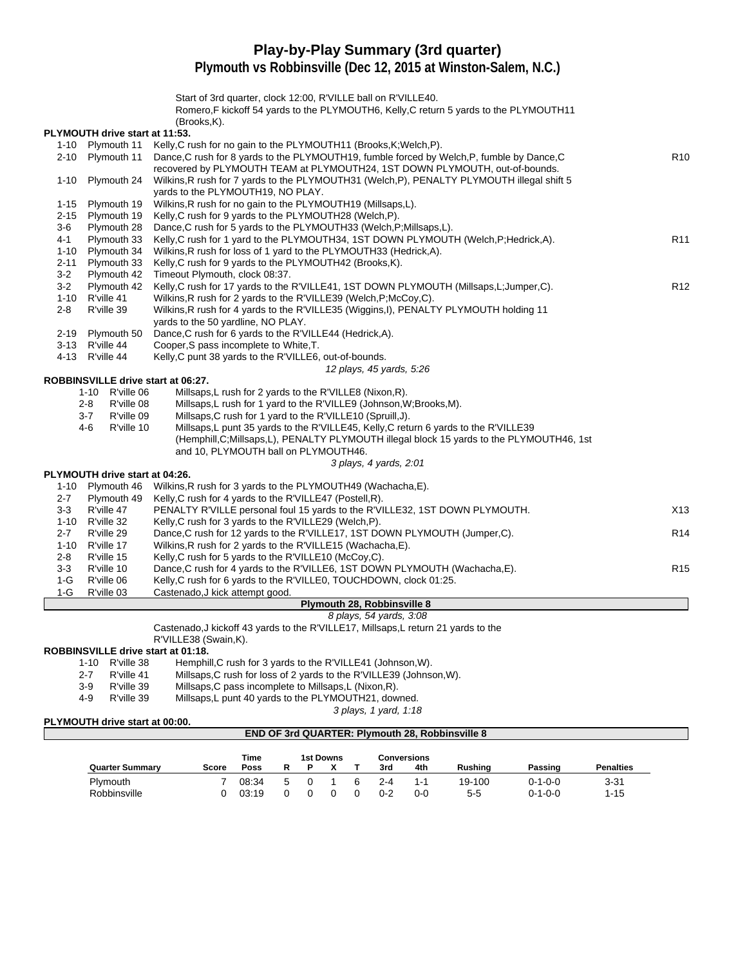# **Play-by-Play Summary (3rd quarter)**

**Plymouth vs Robbinsville (Dec 12, 2015 at Winston-Salem, N.C.)**

Start of 3rd quarter, clock 12:00, R'VILLE ball on R'VILLE40.

Romero,F kickoff 54 yards to the PLYMOUTH6, Kelly,C return 5 yards to the PLYMOUTH11 (Brooks,K).

#### **PLYMOUTH drive start at 11:53.**

|          | PLYMOUTH drive start at 11:53.     |                                                                                            |                 |
|----------|------------------------------------|--------------------------------------------------------------------------------------------|-----------------|
|          | 1-10 Plymouth 11                   | Kelly, C rush for no gain to the PLYMOUTH11 (Brooks, K; Welch, P).                         |                 |
| $2 - 10$ | Plymouth 11                        | Dance, C rush for 8 yards to the PLYMOUTH19, fumble forced by Welch, P, fumble by Dance, C | R <sub>10</sub> |
|          |                                    | recovered by PLYMOUTH TEAM at PLYMOUTH24, 1ST DOWN PLYMOUTH, out-of-bounds.                |                 |
| $1 - 10$ | Plymouth 24                        | Wilkins, R rush for 7 yards to the PLYMOUTH31 (Welch, P), PENALTY PLYMOUTH illegal shift 5 |                 |
|          |                                    | vards to the PLYMOUTH19, NO PLAY.                                                          |                 |
| $1 - 15$ | Plymouth 19                        | Wilkins, R rush for no gain to the PLYMOUTH19 (Millsaps, L).                               |                 |
| $2 - 15$ | Plymouth 19                        | Kelly, C rush for 9 yards to the PLYMOUTH28 (Welch, P).                                    |                 |
| $3-6$    | Plymouth 28                        | Dance, C rush for 5 yards to the PLYMOUTH33 (Welch, P; Millsaps, L).                       |                 |
| $4 - 1$  | Plymouth 33                        | Kelly, C rush for 1 yard to the PLYMOUTH34, 1ST DOWN PLYMOUTH (Welch, P; Hedrick, A).      | R <sub>11</sub> |
| $1 - 10$ | Plymouth 34                        | Wilkins, R rush for loss of 1 yard to the PLYMOUTH33 (Hedrick, A).                         |                 |
| $2 - 11$ | Plymouth 33                        | Kelly, C rush for 9 yards to the PLYMOUTH42 (Brooks, K).                                   |                 |
| $3-2$    | Plymouth 42                        | Timeout Plymouth, clock 08:37.                                                             |                 |
| $3-2$    | Plymouth 42                        | Kelly, C rush for 17 yards to the R'VILLE41, 1ST DOWN PLYMOUTH (Millsaps, L; Jumper, C).   | R <sub>12</sub> |
|          | 1-10 R'ville 41                    | Wilkins, R rush for 2 yards to the R'VILLE39 (Welch, P; McCoy, C).                         |                 |
| $2 - 8$  | R'ville 39                         | Wilkins, R rush for 4 yards to the R'VILLE35 (Wiggins, I), PENALTY PLYMOUTH holding 11     |                 |
|          |                                    | yards to the 50 yardline, NO PLAY.                                                         |                 |
| $2 - 19$ | Plymouth 50                        | Dance, C rush for 6 yards to the R'VILLE44 (Hedrick, A).                                   |                 |
|          | 3-13 R'ville 44                    | Cooper, S pass incomplete to White, T.                                                     |                 |
|          | 4-13 R'ville 44                    | Kelly, C punt 38 yards to the R'VILLE6, out-of-bounds.                                     |                 |
|          |                                    | 12 plays, 45 yards, 5:26                                                                   |                 |
|          | ROBBINSVILLE drive start at 06:27. |                                                                                            |                 |
|          | 1-10 R'ville 06                    | Millsaps, L rush for 2 yards to the R'VILLE8 (Nixon, R).                                   |                 |
|          | $2 - 8$<br>R'ville 08              | Millsaps, L rush for 1 yard to the R'VILLE9 (Johnson, W; Brooks, M).                       |                 |
|          | $3 - 7$<br>R'ville 09              | Millsaps, C rush for 1 yard to the R'VILLE10 (Spruill, J).                                 |                 |
|          | $4-6$<br>R'ville 10                | Millsaps, L punt 35 yards to the R'VILLE45, Kelly, C return 6 yards to the R'VILLE39       |                 |
|          |                                    | (Hemphill, C; Millsaps, L), PENALTY PLYMOUTH illegal block 15 yards to the PLYMOUTH46, 1st |                 |
|          |                                    | and 10, PLYMOUTH ball on PLYMOUTH46.                                                       |                 |
|          |                                    | 3 plays, 4 yards, 2:01                                                                     |                 |
|          | PLYMOUTH drive start at 04:26.     |                                                                                            |                 |
|          | 1-10 Plymouth 46                   | Wilkins, R rush for 3 yards to the PLYMOUTH49 (Wachacha, E).                               |                 |
| $2 - 7$  | Plymouth 49                        | Kelly, C rush for 4 yards to the R'VILLE47 (Postell, R).                                   |                 |
| $3-3$    | R'ville 47                         | PENALTY R'VILLE personal foul 15 yards to the R'VILLE32, 1ST DOWN PLYMOUTH.                | X13             |
|          | 1-10 R'ville 32                    | Kelly, C rush for 3 yards to the R'VILLE29 (Welch, P).                                     |                 |
| $2 - 7$  | R'ville 29                         | Dance, C rush for 12 yards to the R'VILLE17, 1ST DOWN PLYMOUTH (Jumper, C).                | R <sub>14</sub> |
| $1 - 10$ | R'ville 17                         | Wilkins, R rush for 2 yards to the R'VILLE15 (Wachacha, E).                                |                 |
| $2 - 8$  | R'ville 15                         | Kelly, C rush for 5 yards to the R'VILLE10 (McCoy, C).                                     |                 |
| $3-3$    | R'ville 10                         | Dance, C rush for 4 yards to the R'VILLE6, 1ST DOWN PLYMOUTH (Wachacha, E).                | R <sub>15</sub> |
| $1-G$    | R'ville 06                         | Kelly, C rush for 6 yards to the R'VILLE0, TOUCHDOWN, clock 01:25.                         |                 |
| $1-G$    | R'ville 03                         | Castenado, J kick attempt good.                                                            |                 |
|          |                                    | <b>Plymouth 28, Robbinsville 8</b>                                                         |                 |

#### 8 plays, 54 yards, 3:08

Castenado,J kickoff 43 yards to the R'VILLE17, Millsaps,L return 21 yards to the

R'VILLE38 (Swain,K).

### **ROBBINSVILLE drive start at 01:18.**

- 1-10 R'ville 38 Hemphill, C rush for 3 yards to the R'VILLE41 (Johnson, W).<br>2-7 R'ville 41 Millsaps. C rush for loss of 2 vards to the R'VILLE39 (Johns
- 2-7 R'ville 41 Millsaps,C rush for loss of 2 yards to the R'VILLE39 (Johnson, W).<br>3-9 R'ville 39 Millsaps,C pass incomplete to Millsaps,L (Nixon, R).
	- R'ville 39 Millsaps,C pass incomplete to Millsaps,L (Nixon,R).<br>R'ville 39 Millsaps,L punt 40 yards to the PLYMOUTH21, dow
	- 4-9 R'ville 39 Millsaps,L punt 40 yards to the PLYMOUTH21, downed.

3 plays, 1 yard, 1:18 **END OF 3rd QUARTER: Plymouth 28, Robbinsville 8**

#### **PLYMOUTH drive start at 00:00.**

|                        |       | Time  |   | 1st Downs |   |     | <b>Conversions</b> |                |                 |                  |
|------------------------|-------|-------|---|-----------|---|-----|--------------------|----------------|-----------------|------------------|
| <b>Quarter Summary</b> | Score | Poss  |   |           |   | 3rd | 4th                | <b>Rushing</b> | Passing         | <b>Penalties</b> |
| Plymouth               |       | 08:34 | 5 |           | 6 | 2-4 | 1-1                | 19-100         | $0 - 1 - 0 - 0$ | 3-31             |
| Robbinsville           |       | 03:19 |   |           |   | 0-2 | 0-0                | 55             | $0 - 1 - 0 - 0$ | $1 - 15$         |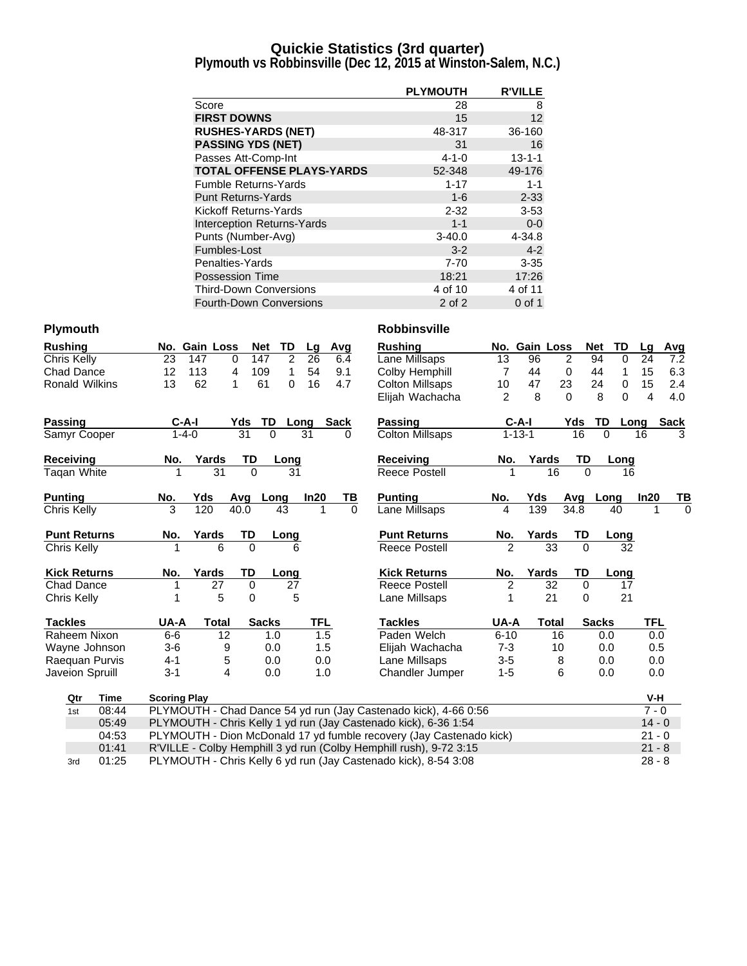### **Quickie Statistics (3rd quarter)**

**Plymouth vs Robbinsville (Dec 12, 2015 at Winston-Salem, N.C.)**

|                                   | <b>PLYMOUTH</b> | <b>R'VILLE</b> |
|-----------------------------------|-----------------|----------------|
| Score                             | 28              | 8              |
| <b>FIRST DOWNS</b>                | 15              | 12             |
| <b>RUSHES-YARDS (NET)</b>         | 48-317          | 36-160         |
| <b>PASSING YDS (NET)</b>          | 31              | 16             |
| Passes Att-Comp-Int               | $4 - 1 - 0$     | $13 - 1 - 1$   |
| <b>TOTAL OFFENSE PLAYS-YARDS</b>  | 52-348          | 49-176         |
| <b>Fumble Returns-Yards</b>       | $1 - 17$        | $1 - 1$        |
| <b>Punt Returns-Yards</b>         | $1 - 6$         | $2 - 33$       |
| Kickoff Returns-Yards             | $2 - 32$        | $3 - 53$       |
| <b>Interception Returns-Yards</b> | $1 - 1$         | $0-0$          |
| Punts (Number-Avg)                | $3 - 40.0$      | 4-34.8         |
| Fumbles-Lost                      | $3 - 2$         | $4 - 2$        |
| Penalties-Yards                   | $7 - 70$        | $3 - 35$       |
| Possession Time                   | 18:21           | 17:26          |
| <b>Third-Down Conversions</b>     | 4 of 10         | 4 of 11        |
| <b>Fourth-Down Conversions</b>    | 2 of 2          | 0 of 1         |

| <b>Rushing</b>      |             |                     | No. Gain Loss | <b>Net</b> | TD           | Lq         | Avg         |          | <b>Rushing</b>                                                      |                | No. Gain Loss |                 |                | TD<br><b>Net</b> | Lq             | Avg         |
|---------------------|-------------|---------------------|---------------|------------|--------------|------------|-------------|----------|---------------------------------------------------------------------|----------------|---------------|-----------------|----------------|------------------|----------------|-------------|
| Chris Kelly         |             | 23                  | 147           | 147<br>0   | 2            | 26         |             | 6.4      | Lane Millsaps                                                       | 13             | 96            |                 | $\overline{2}$ | 94               | $\Omega$<br>24 | 7.2         |
| Chad Dance          |             | 12                  | 113           | 4<br>109   | 1            | 54         |             | 9.1      | Colby Hemphill                                                      | $\overline{7}$ | 44            |                 | $\mathbf 0$    | 44               | 15<br>1        | 6.3         |
| Ronald Wilkins      |             | 13                  | 62            | 61<br>1    | 0            | 16         |             | 4.7      | <b>Colton Millsaps</b>                                              | 10             | 47            | 23              |                | 24               | $\Omega$<br>15 | 2.4         |
|                     |             |                     |               |            |              |            |             |          | Elijah Wachacha                                                     | $\overline{2}$ | 8             |                 | $\Omega$       | 8                | $\Omega$<br>4  | 4.0         |
| Passing             |             | C-A-I               |               | Yds        | TD           | Long       | <b>Sack</b> |          | Passing                                                             |                | $C-A-I$       |                 | Yds            | TD               | Long           | <b>Sack</b> |
| Samyr Cooper        |             | $1 - 4 - 0$         |               | 31         | $\Omega$     | 31         |             | 0        | <b>Colton Millsaps</b>                                              |                | $1 - 13 - 1$  |                 | 16             | $\Omega$         | 16             | 3           |
| Receiving           |             | No.                 | Yards         | TD         | Long         |            |             |          | <b>Receiving</b>                                                    | No.            | Yards         |                 | TD             | Long             |                |             |
| Taqan White         |             |                     | 31            | $\Omega$   | 31           |            |             |          | <b>Reece Postell</b>                                                | 1              |               | 16              | $\Omega$       |                  | 16             |             |
| <b>Punting</b>      |             | No.                 | Yds           | Avg        | Long         | ln20       |             | TВ       | <b>Punting</b>                                                      | No.            | Yds           |                 | Avg            | Long             | ln20           | тв          |
| Chris Kelly         |             | $\overline{3}$      | 120           | 40.0       | 43           |            |             | $\Omega$ | Lane Millsaps                                                       | 4              | 139           |                 | 34.8           | 40               |                | $\Omega$    |
| <b>Punt Returns</b> |             | No.                 | Yards         | TD         | <u>Long</u>  |            |             |          | <b>Punt Returns</b>                                                 | No.            | Yards         |                 | TD             | Long             |                |             |
| Chris Kelly         |             |                     | 6             | $\Omega$   | 6            |            |             |          | Reece Postell                                                       | $\mathfrak{p}$ |               | 33              | $\Omega$       |                  | 32             |             |
| <b>Kick Returns</b> |             | No.                 | Yards         | TD         | Long         |            |             |          | <b>Kick Returns</b>                                                 | No.            | Yards         |                 | <b>TD</b>      | Long             |                |             |
| <b>Chad Dance</b>   |             |                     | 27            | 0          | 27           |            |             |          | Reece Postell                                                       | $\overline{2}$ |               | $\overline{32}$ | $\Omega$       |                  | 17             |             |
| Chris Kelly         |             |                     | 5             | $\Omega$   | 5            |            |             |          | Lane Millsaps                                                       | 1              |               | 21              | $\Omega$       |                  | 21             |             |
| <b>Tackles</b>      |             | UA-A                | <b>Total</b>  |            | <b>Sacks</b> | <b>TFL</b> |             |          | <b>Tackles</b>                                                      | UA-A           |               | <b>Total</b>    |                | <b>Sacks</b>     | TFL            |             |
| Raheem Nixon        |             | $6-6$               | 12            |            | 1.0          | 1.5        |             |          | Paden Welch                                                         | $6 - 10$       |               | 16              |                | 0.0              |                | 0.0         |
| Wayne Johnson       |             | $3-6$               | 9             |            | 0.0          | 1.5        |             |          | Elijah Wachacha                                                     | $7 - 3$        |               | 10              |                | 0.0              |                | 0.5         |
| Raequan Purvis      |             | $4 - 1$             | 5             |            | 0.0          | 0.0        |             |          | Lane Millsaps                                                       | $3-5$          |               | 8               |                | 0.0              |                | 0.0         |
| Javeion Spruill     |             | $3 - 1$             | 4             |            | 0.0          | 1.0        |             |          | Chandler Jumper                                                     | $1 - 5$        |               | 6               |                | 0.0              |                | 0.0         |
| Qtr                 | <b>Time</b> | <b>Scoring Play</b> |               |            |              |            |             |          |                                                                     |                |               |                 |                |                  |                | V-H         |
| 1st                 | 08:44       |                     |               |            |              |            |             |          | PLYMOUTH - Chad Dance 54 yd run (Jay Castenado kick), 4-66 0:56     |                |               |                 |                |                  |                | $7 - 0$     |
|                     | 05:49       |                     |               |            |              |            |             |          | PLYMOUTH - Chris Kelly 1 yd run (Jay Castenado kick), 6-36 1:54     |                |               |                 |                |                  |                | $14 - 0$    |
|                     | 04:53       |                     |               |            |              |            |             |          | PLYMOUTH - Dion McDonald 17 yd fumble recovery (Jay Castenado kick) |                |               |                 |                |                  |                | $21 - 0$    |
|                     | 01:41       |                     |               |            |              |            |             |          | R'VILLE - Colby Hemphill 3 yd run (Colby Hemphill rush), 9-72 3:15  |                |               |                 |                |                  |                | $21 - 8$    |
| 3rd                 | 01:25       |                     |               |            |              |            |             |          | PLYMOUTH - Chris Kelly 6 yd run (Jay Castenado kick), 8-54 3:08     |                |               |                 |                |                  |                | $28 - 8$    |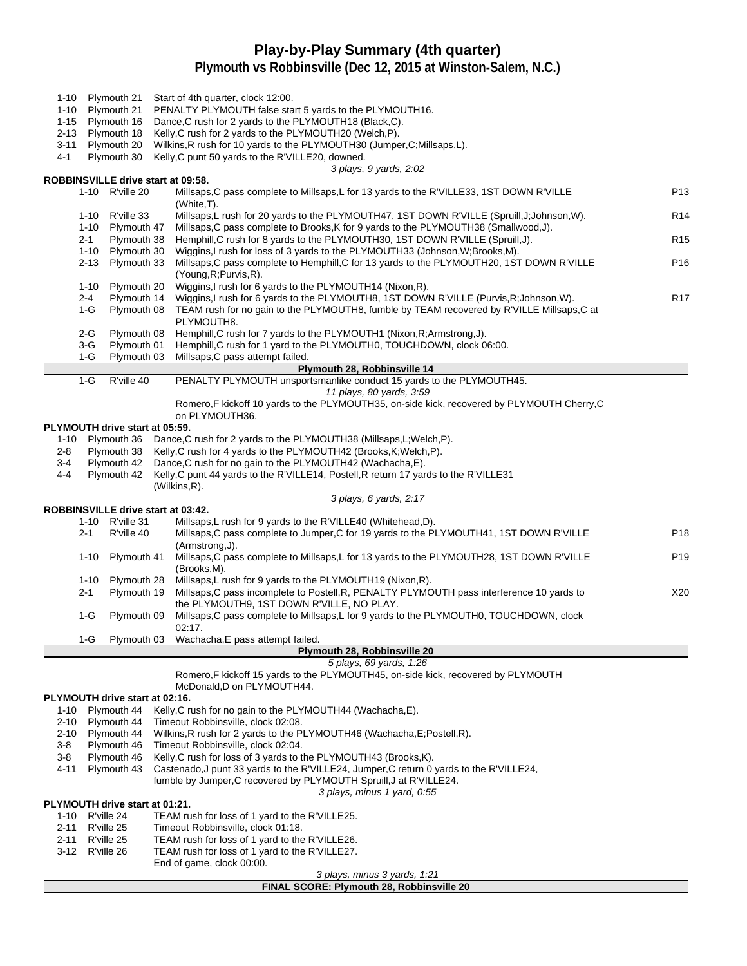# **Play-by-Play Summary (4th quarter)**

|                                    |                                                                                          | 1-10 Plymouth 21                              | Start of 4th quarter, clock 12:00.                                                                                                                                     |                 |  |  |  |  |  |  |  |  |
|------------------------------------|------------------------------------------------------------------------------------------|-----------------------------------------------|------------------------------------------------------------------------------------------------------------------------------------------------------------------------|-----------------|--|--|--|--|--|--|--|--|
|                                    |                                                                                          | 1-10 Plymouth 21                              | PENALTY PLYMOUTH false start 5 yards to the PLYMOUTH16.                                                                                                                |                 |  |  |  |  |  |  |  |  |
|                                    |                                                                                          | 1-15 Plymouth 16<br>2-13 Plymouth 18          | Dance, C rush for 2 yards to the PLYMOUTH18 (Black, C).<br>Kelly, C rush for 2 yards to the PLYMOUTH20 (Welch, P).                                                     |                 |  |  |  |  |  |  |  |  |
| 3-11                               |                                                                                          | Plymouth 20                                   | Wilkins, R rush for 10 yards to the PLYMOUTH30 (Jumper, C; Millsaps, L).                                                                                               |                 |  |  |  |  |  |  |  |  |
| 4-1                                |                                                                                          | Plymouth 30                                   | Kelly, C punt 50 yards to the R'VILLE20, downed.                                                                                                                       |                 |  |  |  |  |  |  |  |  |
|                                    |                                                                                          |                                               | 3 plays, 9 yards, 2:02<br>ROBBINSVILLE drive start at 09:58.                                                                                                           |                 |  |  |  |  |  |  |  |  |
|                                    |                                                                                          | 1-10 R'ville 20                               | Millsaps, C pass complete to Millsaps, L for 13 yards to the R'VILLE33, 1ST DOWN R'VILLE                                                                               | P <sub>13</sub> |  |  |  |  |  |  |  |  |
|                                    |                                                                                          |                                               | (White,T).                                                                                                                                                             | R <sub>14</sub> |  |  |  |  |  |  |  |  |
|                                    | 1-10                                                                                     | R'ville 33                                    | Millsaps, L rush for 20 yards to the PLYMOUTH47, 1ST DOWN R'VILLE (Spruill, J; Johnson, W).                                                                            |                 |  |  |  |  |  |  |  |  |
|                                    | $2 - 1$                                                                                  | 1-10 Plymouth 47<br>Plymouth 38               | Millsaps, C pass complete to Brooks, K for 9 yards to the PLYMOUTH38 (Smallwood, J).<br>Hemphill, C rush for 8 yards to the PLYMOUTH30, 1ST DOWN R'VILLE (Spruill, J). | R <sub>15</sub> |  |  |  |  |  |  |  |  |
|                                    | 1-10                                                                                     | Plymouth 30                                   | Wiggins, I rush for loss of 3 yards to the PLYMOUTH33 (Johnson, W; Brooks, M).                                                                                         |                 |  |  |  |  |  |  |  |  |
|                                    | 2-13                                                                                     | Plymouth 33                                   | Millsaps, C pass complete to Hemphill, C for 13 yards to the PLYMOUTH20, 1ST DOWN R'VILLE                                                                              | P16             |  |  |  |  |  |  |  |  |
|                                    | $1 - 10$                                                                                 | Plymouth 20                                   | (Young, R; Purvis, R).<br>Wiggins, I rush for 6 yards to the PLYMOUTH14 (Nixon, R).                                                                                    |                 |  |  |  |  |  |  |  |  |
|                                    | 2-4                                                                                      | Plymouth 14                                   | Wiggins, I rush for 6 yards to the PLYMOUTH8, 1ST DOWN R'VILLE (Purvis, R; Johnson, W).                                                                                | R <sub>17</sub> |  |  |  |  |  |  |  |  |
|                                    | 1-G                                                                                      | Plymouth 08                                   | TEAM rush for no gain to the PLYMOUTH8, fumble by TEAM recovered by R'VILLE Millsaps, C at                                                                             |                 |  |  |  |  |  |  |  |  |
|                                    |                                                                                          |                                               | PLYMOUTH8.                                                                                                                                                             |                 |  |  |  |  |  |  |  |  |
|                                    | 2-G<br>3-G                                                                               | Plymouth 08<br>Plymouth 01                    | Hemphill, C rush for 7 yards to the PLYMOUTH1 (Nixon, R; Armstrong, J).<br>Hemphill, C rush for 1 yard to the PLYMOUTH0, TOUCHDOWN, clock 06:00.                       |                 |  |  |  |  |  |  |  |  |
|                                    | 1-G                                                                                      | Plymouth 03                                   | Millsaps, C pass attempt failed.                                                                                                                                       |                 |  |  |  |  |  |  |  |  |
|                                    |                                                                                          |                                               | Plymouth 28, Robbinsville 14                                                                                                                                           |                 |  |  |  |  |  |  |  |  |
|                                    | $1-G$                                                                                    | R'ville 40                                    | PENALTY PLYMOUTH unsportsmanlike conduct 15 yards to the PLYMOUTH45.<br>11 plays, 80 yards, 3:59                                                                       |                 |  |  |  |  |  |  |  |  |
|                                    |                                                                                          |                                               | Romero, F kickoff 10 yards to the PLYMOUTH35, on-side kick, recovered by PLYMOUTH Cherry, C                                                                            |                 |  |  |  |  |  |  |  |  |
|                                    |                                                                                          |                                               | on PLYMOUTH36.                                                                                                                                                         |                 |  |  |  |  |  |  |  |  |
|                                    |                                                                                          | PLYMOUTH drive start at 05:59.                |                                                                                                                                                                        |                 |  |  |  |  |  |  |  |  |
| 2-8                                |                                                                                          |                                               | 1-10 Plymouth 36 Dance, C rush for 2 yards to the PLYMOUTH38 (Millsaps, L; Welch, P).<br>Kelly, C rush for 4 yards to the PLYMOUTH42 (Brooks, K; Welch, P).            |                 |  |  |  |  |  |  |  |  |
| 3-4                                | Plymouth 38<br>Plymouth 42<br>Dance, C rush for no gain to the PLYMOUTH42 (Wachacha, E). |                                               |                                                                                                                                                                        |                 |  |  |  |  |  |  |  |  |
| 4-4                                |                                                                                          | Plymouth 42                                   | Kelly, C punt 44 yards to the R'VILLE14, Postell, R return 17 yards to the R'VILLE31                                                                                   |                 |  |  |  |  |  |  |  |  |
|                                    |                                                                                          |                                               | (Wilkins,R).<br>3 plays, 6 yards, 2:17                                                                                                                                 |                 |  |  |  |  |  |  |  |  |
|                                    |                                                                                          |                                               | ROBBINSVILLE drive start at 03:42.                                                                                                                                     |                 |  |  |  |  |  |  |  |  |
|                                    |                                                                                          | 1-10 R'ville 31                               | Millsaps, L rush for 9 yards to the R'VILLE40 (Whitehead, D).                                                                                                          |                 |  |  |  |  |  |  |  |  |
|                                    | 2-1                                                                                      | R'ville 40                                    | Millsaps, C pass complete to Jumper, C for 19 yards to the PLYMOUTH41, 1ST DOWN R'VILLE                                                                                | P <sub>18</sub> |  |  |  |  |  |  |  |  |
|                                    | $1 - 10$                                                                                 | Plymouth 41                                   | (Armstrong, J).<br>Millsaps, C pass complete to Millsaps, L for 13 yards to the PLYMOUTH28, 1ST DOWN R'VILLE                                                           | P <sub>19</sub> |  |  |  |  |  |  |  |  |
|                                    |                                                                                          |                                               | (Brooks,M).                                                                                                                                                            |                 |  |  |  |  |  |  |  |  |
|                                    | 1-10                                                                                     | Plymouth 28                                   | Millsaps, L rush for 9 yards to the PLYMOUTH19 (Nixon, R).                                                                                                             |                 |  |  |  |  |  |  |  |  |
|                                    | $2 - 1$                                                                                  | Plymouth 19                                   | Millsaps, C pass incomplete to Postell, R, PENALTY PLYMOUTH pass interference 10 yards to<br>the PLYMOUTH9, 1ST DOWN R'VILLE, NO PLAY.                                 | X20             |  |  |  |  |  |  |  |  |
|                                    | 1-G                                                                                      | Plymouth 09                                   | Millsaps, C pass complete to Millsaps, L for 9 yards to the PLYMOUTH0, TOUCHDOWN, clock                                                                                |                 |  |  |  |  |  |  |  |  |
|                                    |                                                                                          |                                               | 02:17.                                                                                                                                                                 |                 |  |  |  |  |  |  |  |  |
|                                    | $1-G$                                                                                    | Plymouth 03                                   | Wachacha, E pass attempt failed.                                                                                                                                       |                 |  |  |  |  |  |  |  |  |
|                                    |                                                                                          |                                               | Plymouth 28, Robbinsville 20<br>5 plays, 69 yards, 1:26                                                                                                                |                 |  |  |  |  |  |  |  |  |
|                                    |                                                                                          |                                               | Romero, F kickoff 15 yards to the PLYMOUTH45, on-side kick, recovered by PLYMOUTH                                                                                      |                 |  |  |  |  |  |  |  |  |
|                                    |                                                                                          |                                               | McDonald, D on PLYMOUTH44.                                                                                                                                             |                 |  |  |  |  |  |  |  |  |
| 1-10                               |                                                                                          | PLYMOUTH drive start at 02:16.<br>Plymouth 44 | Kelly, C rush for no gain to the PLYMOUTH44 (Wachacha, E).                                                                                                             |                 |  |  |  |  |  |  |  |  |
|                                    |                                                                                          | 2-10 Plymouth 44                              | Timeout Robbinsville, clock 02:08.                                                                                                                                     |                 |  |  |  |  |  |  |  |  |
|                                    |                                                                                          | 2-10 Plymouth 44                              | Wilkins, R rush for 2 yards to the PLYMOUTH46 (Wachacha, E; Postell, R).                                                                                               |                 |  |  |  |  |  |  |  |  |
| 3-8                                |                                                                                          | Plymouth 46                                   | Timeout Robbinsville, clock 02:04.                                                                                                                                     |                 |  |  |  |  |  |  |  |  |
| 3-8<br>4-11                        |                                                                                          | Plymouth 46<br>Plymouth 43                    | Kelly, C rush for loss of 3 yards to the PLYMOUTH43 (Brooks, K).<br>Castenado, J punt 33 yards to the R'VILLE24, Jumper, C return 0 yards to the R'VILLE24,            |                 |  |  |  |  |  |  |  |  |
|                                    |                                                                                          |                                               | fumble by Jumper, C recovered by PLYMOUTH Spruill, J at R'VILLE24.                                                                                                     |                 |  |  |  |  |  |  |  |  |
|                                    |                                                                                          |                                               | 3 plays, minus 1 yard, 0.55                                                                                                                                            |                 |  |  |  |  |  |  |  |  |
|                                    |                                                                                          | PLYMOUTH drive start at 01:21.                |                                                                                                                                                                        |                 |  |  |  |  |  |  |  |  |
| 1-10 R'ville 24<br>2-11 R'ville 25 |                                                                                          |                                               | TEAM rush for loss of 1 yard to the R'VILLE25.<br>Timeout Robbinsville, clock 01:18.                                                                                   |                 |  |  |  |  |  |  |  |  |
| 2-11 R'ville 25                    |                                                                                          |                                               | TEAM rush for loss of 1 yard to the R'VILLE26.                                                                                                                         |                 |  |  |  |  |  |  |  |  |
| 3-12 R'ville 26                    |                                                                                          |                                               | TEAM rush for loss of 1 yard to the R'VILLE27.                                                                                                                         |                 |  |  |  |  |  |  |  |  |
|                                    |                                                                                          |                                               | End of game, clock 00:00.<br>3 plays, minus 3 yards, 1:21                                                                                                              |                 |  |  |  |  |  |  |  |  |
|                                    |                                                                                          |                                               |                                                                                                                                                                        |                 |  |  |  |  |  |  |  |  |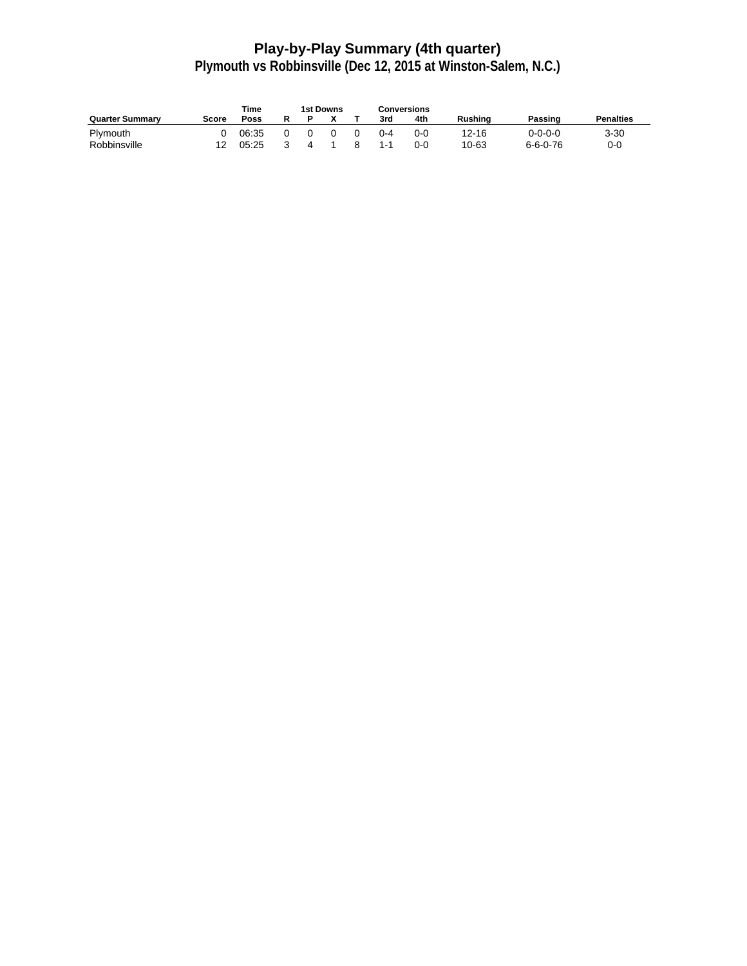# **Play-by-Play Summary (4th quarter)**

|                        |       | <b>Time</b> | 1st Downs |  | Conversions |     |         |           |                  |                  |
|------------------------|-------|-------------|-----------|--|-------------|-----|---------|-----------|------------------|------------------|
| <b>Quarter Summary</b> | Score | <b>Poss</b> |           |  |             | 3rd | 4th     | Rushina   | Passing          | <b>Penalties</b> |
| Plymouth               |       | 06:35       |           |  |             | በ-4 | 0-0     | $12 - 16$ | 0-0-0-0          | $3 - 30$         |
| Robbinsville           |       | 05:25       |           |  |             | 1-1 | $0 - 0$ | 10-63     | $6 - 6 - 0 - 76$ | 0-0              |